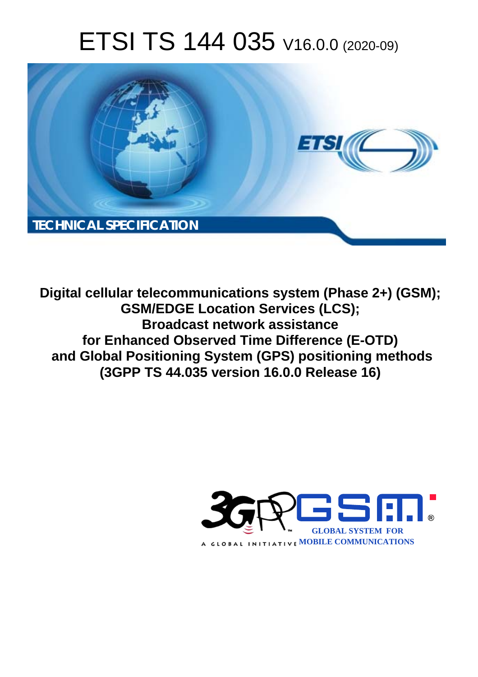# ETSI TS 144 035 V16.0.0 (2020-09)



**Digital cellular telecommunications system (Phase 2+) (GSM); GSM/EDGE Location Services (LCS); Broadcast network assistance for Enhanced Observed Time Difference (E-OTD) and Global Positioning System (GPS) positioning methods (3GPP TS 44.035 version 16.0.0 Release 16)** 

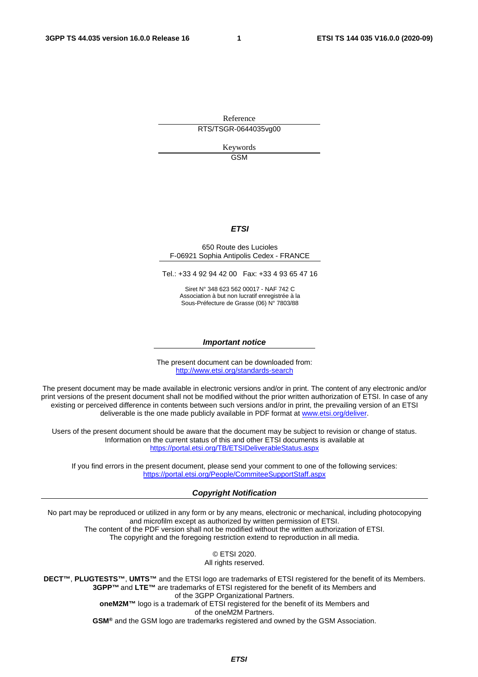Reference RTS/TSGR-0644035vg00

> Keywords GSM

#### *ETSI*

#### 650 Route des Lucioles F-06921 Sophia Antipolis Cedex - FRANCE

Tel.: +33 4 92 94 42 00 Fax: +33 4 93 65 47 16

Siret N° 348 623 562 00017 - NAF 742 C Association à but non lucratif enregistrée à la Sous-Préfecture de Grasse (06) N° 7803/88

#### *Important notice*

The present document can be downloaded from: <http://www.etsi.org/standards-search>

The present document may be made available in electronic versions and/or in print. The content of any electronic and/or print versions of the present document shall not be modified without the prior written authorization of ETSI. In case of any existing or perceived difference in contents between such versions and/or in print, the prevailing version of an ETSI deliverable is the one made publicly available in PDF format at [www.etsi.org/deliver](http://www.etsi.org/deliver).

Users of the present document should be aware that the document may be subject to revision or change of status. Information on the current status of this and other ETSI documents is available at <https://portal.etsi.org/TB/ETSIDeliverableStatus.aspx>

If you find errors in the present document, please send your comment to one of the following services: <https://portal.etsi.org/People/CommiteeSupportStaff.aspx>

#### *Copyright Notification*

No part may be reproduced or utilized in any form or by any means, electronic or mechanical, including photocopying and microfilm except as authorized by written permission of ETSI. The content of the PDF version shall not be modified without the written authorization of ETSI. The copyright and the foregoing restriction extend to reproduction in all media.

> © ETSI 2020. All rights reserved.

**DECT™**, **PLUGTESTS™**, **UMTS™** and the ETSI logo are trademarks of ETSI registered for the benefit of its Members. **3GPP™** and **LTE™** are trademarks of ETSI registered for the benefit of its Members and of the 3GPP Organizational Partners. **oneM2M™** logo is a trademark of ETSI registered for the benefit of its Members and of the oneM2M Partners. **GSM®** and the GSM logo are trademarks registered and owned by the GSM Association.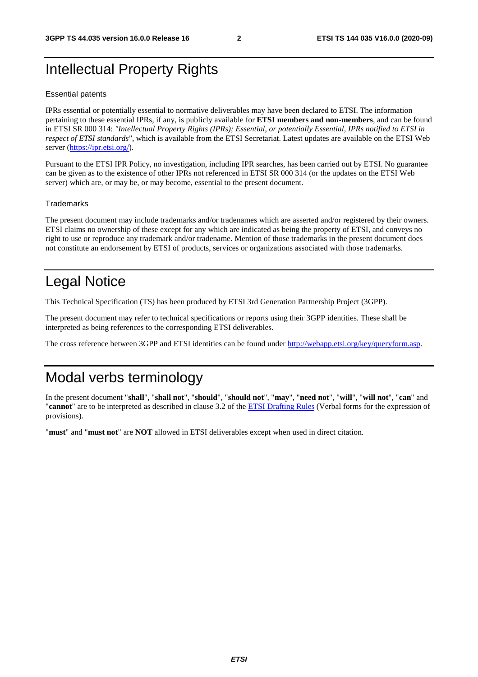## Intellectual Property Rights

#### Essential patents

IPRs essential or potentially essential to normative deliverables may have been declared to ETSI. The information pertaining to these essential IPRs, if any, is publicly available for **ETSI members and non-members**, and can be found in ETSI SR 000 314: *"Intellectual Property Rights (IPRs); Essential, or potentially Essential, IPRs notified to ETSI in respect of ETSI standards"*, which is available from the ETSI Secretariat. Latest updates are available on the ETSI Web server [\(https://ipr.etsi.org/](https://ipr.etsi.org/)).

Pursuant to the ETSI IPR Policy, no investigation, including IPR searches, has been carried out by ETSI. No guarantee can be given as to the existence of other IPRs not referenced in ETSI SR 000 314 (or the updates on the ETSI Web server) which are, or may be, or may become, essential to the present document.

#### **Trademarks**

The present document may include trademarks and/or tradenames which are asserted and/or registered by their owners. ETSI claims no ownership of these except for any which are indicated as being the property of ETSI, and conveys no right to use or reproduce any trademark and/or tradename. Mention of those trademarks in the present document does not constitute an endorsement by ETSI of products, services or organizations associated with those trademarks.

## Legal Notice

This Technical Specification (TS) has been produced by ETSI 3rd Generation Partnership Project (3GPP).

The present document may refer to technical specifications or reports using their 3GPP identities. These shall be interpreted as being references to the corresponding ETSI deliverables.

The cross reference between 3GPP and ETSI identities can be found under<http://webapp.etsi.org/key/queryform.asp>.

## Modal verbs terminology

In the present document "**shall**", "**shall not**", "**should**", "**should not**", "**may**", "**need not**", "**will**", "**will not**", "**can**" and "**cannot**" are to be interpreted as described in clause 3.2 of the [ETSI Drafting Rules](https://portal.etsi.org/Services/editHelp!/Howtostart/ETSIDraftingRules.aspx) (Verbal forms for the expression of provisions).

"**must**" and "**must not**" are **NOT** allowed in ETSI deliverables except when used in direct citation.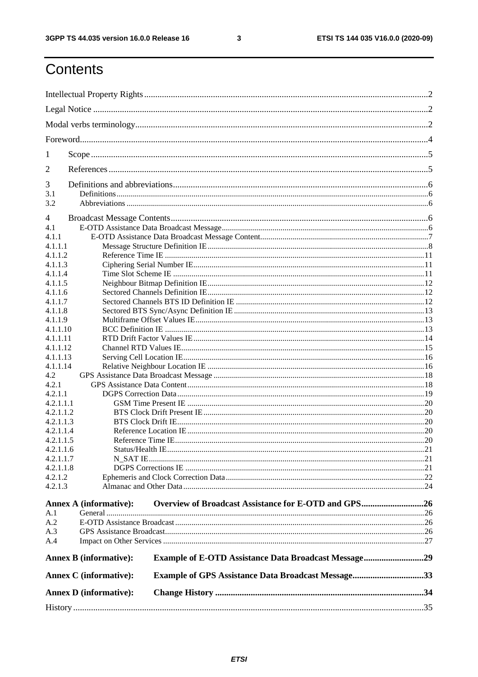$\mathbf{3}$ 

## Contents

| $\mathbf{I}$ |                               |                                                             |  |
|--------------|-------------------------------|-------------------------------------------------------------|--|
| 2            |                               |                                                             |  |
| 3            |                               |                                                             |  |
| 3.1          |                               |                                                             |  |
| 3.2          |                               |                                                             |  |
| 4            |                               |                                                             |  |
| 4.1          |                               |                                                             |  |
| 4.1.1        |                               |                                                             |  |
| 4.1.1.1      |                               |                                                             |  |
| 4.1.1.2      |                               |                                                             |  |
| 4.1.1.3      |                               |                                                             |  |
| 4.1.1.4      |                               |                                                             |  |
| 4.1.1.5      |                               |                                                             |  |
| 4.1.1.6      |                               |                                                             |  |
| 4.1.1.7      |                               |                                                             |  |
| 4.1.1.8      |                               |                                                             |  |
| 4.1.1.9      |                               |                                                             |  |
| 4.1.1.10     |                               |                                                             |  |
| 4.1.1.11     |                               |                                                             |  |
| 4.1.1.12     |                               |                                                             |  |
| 4.1.1.13     |                               |                                                             |  |
| 4.1.1.14     |                               |                                                             |  |
| 4.2          |                               |                                                             |  |
| 4.2.1        |                               |                                                             |  |
| 4.2.1.1      |                               |                                                             |  |
| 4.2.1.1.1    |                               |                                                             |  |
| 4.2.1.1.2    |                               |                                                             |  |
| 4.2.1.1.3    |                               |                                                             |  |
| 4.2.1.1.4    |                               |                                                             |  |
| 4.2.1.1.5    |                               |                                                             |  |
| 4.2.1.1.6    |                               |                                                             |  |
| 4.2.1.1.7    |                               |                                                             |  |
| 4.2.1.1.8    |                               |                                                             |  |
| 4.2.1.2      |                               |                                                             |  |
| 4.2.1.3      |                               |                                                             |  |
|              |                               |                                                             |  |
|              | <b>Annex A (informative):</b> | Overview of Broadcast Assistance for E-OTD and GPS26        |  |
| A.1          |                               |                                                             |  |
| A.2          |                               |                                                             |  |
| A.3          |                               |                                                             |  |
| A.4          |                               |                                                             |  |
|              | <b>Annex B</b> (informative): | <b>Example of E-OTD Assistance Data Broadcast Message29</b> |  |
|              | Annex C (informative):        | <b>Example of GPS Assistance Data Broadcast Message33</b>   |  |
|              | <b>Annex D</b> (informative): |                                                             |  |
|              |                               |                                                             |  |
|              |                               |                                                             |  |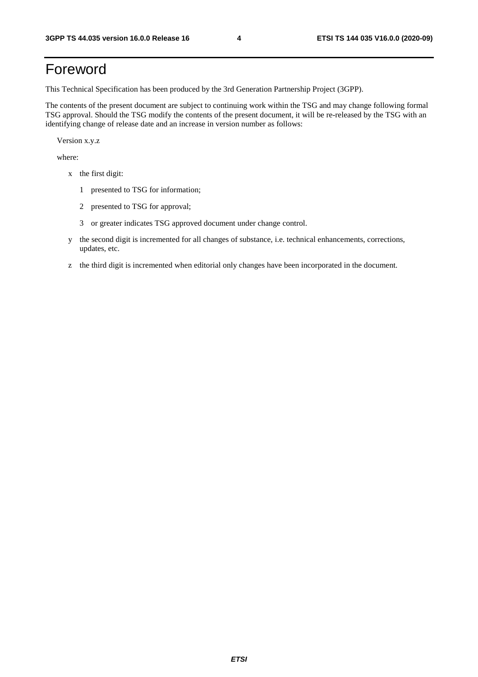## Foreword

This Technical Specification has been produced by the 3rd Generation Partnership Project (3GPP).

The contents of the present document are subject to continuing work within the TSG and may change following formal TSG approval. Should the TSG modify the contents of the present document, it will be re-released by the TSG with an identifying change of release date and an increase in version number as follows:

Version x.y.z

where:

- x the first digit:
	- 1 presented to TSG for information;
	- 2 presented to TSG for approval;
	- 3 or greater indicates TSG approved document under change control.
- y the second digit is incremented for all changes of substance, i.e. technical enhancements, corrections, updates, etc.
- z the third digit is incremented when editorial only changes have been incorporated in the document.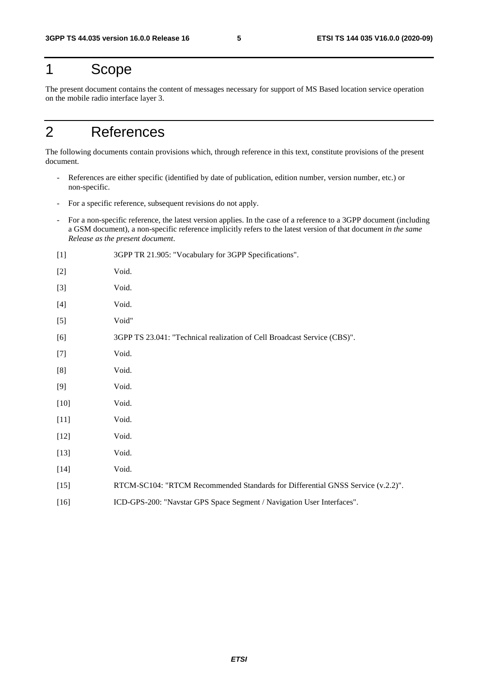## 1 Scope

The present document contains the content of messages necessary for support of MS Based location service operation on the mobile radio interface layer 3.

## 2 References

The following documents contain provisions which, through reference in this text, constitute provisions of the present document.

- References are either specific (identified by date of publication, edition number, version number, etc.) or non-specific.
- For a specific reference, subsequent revisions do not apply.
- For a non-specific reference, the latest version applies. In the case of a reference to a 3GPP document (including a GSM document), a non-specific reference implicitly refers to the latest version of that document *in the same Release as the present document*.

| $[1]$  | 3GPP TR 21.905: "Vocabulary for 3GPP Specifications".                           |
|--------|---------------------------------------------------------------------------------|
| $[2]$  | Void.                                                                           |
| $[3]$  | Void.                                                                           |
| $[4]$  | Void.                                                                           |
| $[5]$  | Void"                                                                           |
| [6]    | 3GPP TS 23.041: "Technical realization of Cell Broadcast Service (CBS)".        |
| $[7]$  | Void.                                                                           |
| [8]    | Void.                                                                           |
| $[9]$  | Void.                                                                           |
| $[10]$ | Void.                                                                           |
| $[11]$ | Void.                                                                           |
| $[12]$ | Void.                                                                           |
| $[13]$ | Void.                                                                           |
| $[14]$ | Void.                                                                           |
| $[15]$ | RTCM-SC104: "RTCM Recommended Standards for Differential GNSS Service (v.2.2)". |
| $[16]$ | ICD-GPS-200: "Navstar GPS Space Segment / Navigation User Interfaces".          |
|        |                                                                                 |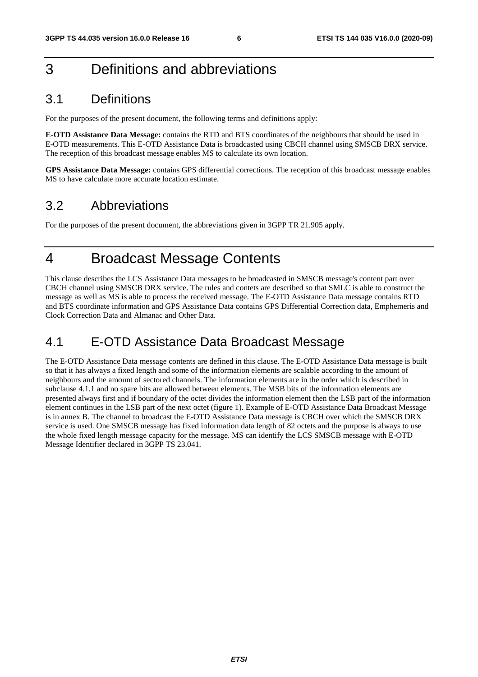## 3 Definitions and abbreviations

## 3.1 Definitions

For the purposes of the present document, the following terms and definitions apply:

**E-OTD Assistance Data Message:** contains the RTD and BTS coordinates of the neighbours that should be used in E-OTD measurements. This E-OTD Assistance Data is broadcasted using CBCH channel using SMSCB DRX service. The reception of this broadcast message enables MS to calculate its own location.

**GPS Assistance Data Message:** contains GPS differential corrections. The reception of this broadcast message enables MS to have calculate more accurate location estimate.

### 3.2 Abbreviations

For the purposes of the present document, the abbreviations given in 3GPP TR 21.905 apply.

## 4 Broadcast Message Contents

This clause describes the LCS Assistance Data messages to be broadcasted in SMSCB message's content part over CBCH channel using SMSCB DRX service. The rules and contets are described so that SMLC is able to construct the message as well as MS is able to process the received message. The E-OTD Assistance Data message contains RTD and BTS coordinate information and GPS Assistance Data contains GPS Differential Correction data, Emphemeris and Clock Correction Data and Almanac and Other Data.

## 4.1 E-OTD Assistance Data Broadcast Message

The E-OTD Assistance Data message contents are defined in this clause. The E-OTD Assistance Data message is built so that it has always a fixed length and some of the information elements are scalable according to the amount of neighbours and the amount of sectored channels. The information elements are in the order which is described in subclause 4.1.1 and no spare bits are allowed between elements. The MSB bits of the information elements are presented always first and if boundary of the octet divides the information element then the LSB part of the information element continues in the LSB part of the next octet (figure 1). Example of E-OTD Assistance Data Broadcast Message is in annex B. The channel to broadcast the E-OTD Assistance Data message is CBCH over which the SMSCB DRX service is used. One SMSCB message has fixed information data length of 82 octets and the purpose is always to use the whole fixed length message capacity for the message. MS can identify the LCS SMSCB message with E-OTD Message Identifier declared in 3GPP TS 23.041.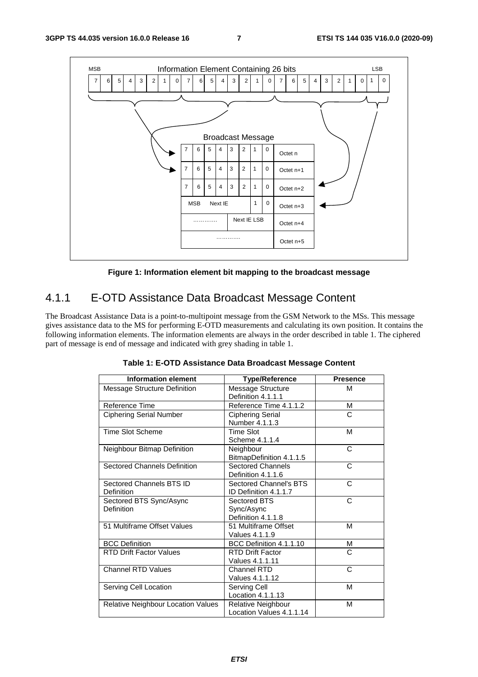

**Figure 1: Information element bit mapping to the broadcast message** 

## 4.1.1 E-OTD Assistance Data Broadcast Message Content

The Broadcast Assistance Data is a point-to-multipoint message from the GSM Network to the MSs. This message gives assistance data to the MS for performing E-OTD measurements and calculating its own position. It contains the following information elements. The information elements are always in the order described in table 1. The ciphered part of message is end of message and indicated with grey shading in table 1.

| <b>Information element</b>             | <b>Type/Reference</b>                            | <b>Presence</b> |
|----------------------------------------|--------------------------------------------------|-----------------|
| Message Structure Definition           | Message Structure<br>Definition 4.1.1.1          | м               |
| Reference Time                         | Reference Time 4.1.1.2                           | М               |
| <b>Ciphering Serial Number</b>         | <b>Ciphering Serial</b><br>Number 4.1.1.3        | C               |
| <b>Time Slot Scheme</b>                | <b>Time Slot</b><br>Scheme 4.1.1.4               | м               |
| Neighbour Bitmap Definition            | Neighbour<br>BitmapDefinition 4.1.1.5            | C               |
| <b>Sectored Channels Definition</b>    | <b>Sectored Channels</b><br>Definition 4.1.1.6   | C               |
| Sectored Channels BTS ID<br>Definition | Sectored Channel's BTS<br>ID Definition 4.1.1.7  | C               |
| Sectored BTS Sync/Async<br>Definition  | Sectored BTS<br>Sync/Async<br>Definition 4.1.1.8 | C               |
| 51 Multiframe Offset Values            | 51 Multiframe Offset<br>Values 4.1.1.9           | M               |
| <b>BCC Definition</b>                  | BCC Definition 4.1.1.10                          | М               |
| <b>RTD Drift Factor Values</b>         | <b>RTD Drift Factor</b><br>Values 4.1.1.11       | C               |
| <b>Channel RTD Values</b>              | Channel RTD<br>Values 4.1.1.12                   | C               |
| Serving Cell Location                  | Serving Cell<br>Location 4.1.1.13                | M               |
| Relative Neighbour Location Values     | Relative Neighbour<br>Location Values 4.1.1.14   | М               |

**Table 1: E-OTD Assistance Data Broadcast Message Content**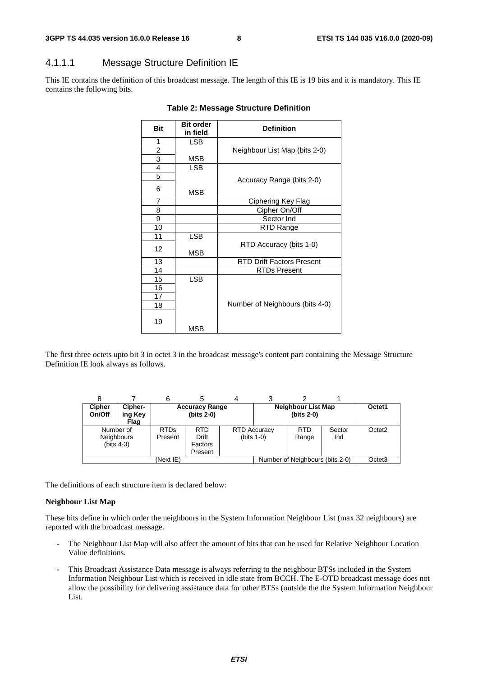### 4.1.1.1 Message Structure Definition IE

This IE contains the definition of this broadcast message. The length of this IE is 19 bits and it is mandatory. This IE contains the following bits.

| <b>Bit</b>     | <b>Bit order</b><br>in field | <b>Definition</b>                |
|----------------|------------------------------|----------------------------------|
| 1              | <b>LSB</b>                   |                                  |
| 2              |                              | Neighbour List Map (bits 2-0)    |
| $\overline{3}$ | MSB                          |                                  |
| $\overline{4}$ | <b>LSB</b>                   |                                  |
| 5              |                              | Accuracy Range (bits 2-0)        |
| 6              | MSB                          |                                  |
| $\overline{7}$ |                              | Ciphering Key Flag               |
| 8              |                              | Cipher On/Off                    |
| 9              |                              | Sector Ind                       |
| 10             |                              | RTD Range                        |
| 11             | <b>LSB</b>                   |                                  |
| 12             | MSB                          | RTD Accuracy (bits 1-0)          |
| 13             |                              | <b>RTD Drift Factors Present</b> |
| 14             |                              | <b>RTDs Present</b>              |
| 15             | <b>LSB</b>                   |                                  |
| 16             |                              |                                  |
| 17             |                              |                                  |
| 18             |                              | Number of Neighbours (bits 4-0)  |
| 19             | MSB                          |                                  |

#### **Table 2: Message Structure Definition**

The first three octets upto bit 3 in octet 3 in the broadcast message's content part containing the Message Structure Definition IE look always as follows.

|                         |                                                 | 6                      |                                           |                     |               |                                         |               |                    |
|-------------------------|-------------------------------------------------|------------------------|-------------------------------------------|---------------------|---------------|-----------------------------------------|---------------|--------------------|
| <b>Cipher</b><br>On/Off | Cipher-<br>ing Key<br>Flag                      |                        | <b>Accuracy Range</b><br>$(bits 2-0)$     |                     |               | <b>Neighbour List Map</b><br>(bits 2-0) |               | Octet1             |
|                         | Number of<br><b>Neighbours</b><br>(bits $4-3$ ) | <b>RTDs</b><br>Present | <b>RTD</b><br>Drift<br>Factors<br>Present | <b>RTD Accuracy</b> | (bits $1-0$ ) | <b>RTD</b><br>Range                     | Sector<br>Ind | Octet <sub>2</sub> |
|                         | (Next IE)                                       |                        |                                           |                     |               | Number of Neighbours (bits 2-0)         |               | Octet <sub>3</sub> |

The definitions of each structure item is declared below:

#### **Neighbour List Map**

These bits define in which order the neighbours in the System Information Neighbour List (max 32 neighbours) are reported with the broadcast message.

- The Neighbour List Map will also affect the amount of bits that can be used for Relative Neighbour Location Value definitions.
- This Broadcast Assistance Data message is always referring to the neighbour BTSs included in the System Information Neighbour List which is received in idle state from BCCH. The E-OTD broadcast message does not allow the possibility for delivering assistance data for other BTSs (outside the the System Information Neighbour List.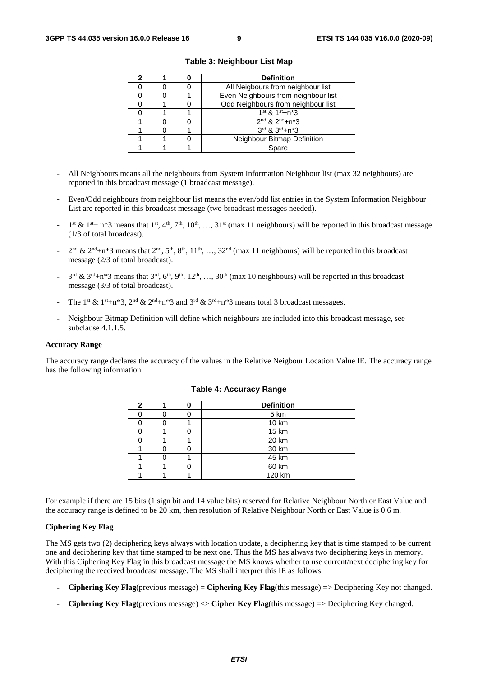|  | <b>Definition</b>                   |  |  |  |
|--|-------------------------------------|--|--|--|
|  | All Neigbours from neighbour list   |  |  |  |
|  | Even Neighbours from neighbour list |  |  |  |
|  | Odd Neighbours from neighbour list  |  |  |  |
|  | $1^{st}$ & $1^{st}+n^{*}3$          |  |  |  |
|  | $2^{nd}$ & $2^{nd}+n*3$             |  |  |  |
|  | 3rd & 3rd+n*3                       |  |  |  |
|  | Neighbour Bitmap Definition         |  |  |  |
|  | Spare                               |  |  |  |

**Table 3: Neighbour List Map** 

- All Neighbours means all the neighbours from System Information Neighbour list (max 32 neighbours) are reported in this broadcast message (1 broadcast message).
- Even/Odd neighbours from neighbour list means the even/odd list entries in the System Information Neighbour List are reported in this broadcast message (two broadcast messages needed).
- $1^{st}$  &  $1^{st}$ + n<sup>\*</sup>3 means that  $1^{st}$ ,  $4^{th}$ ,  $7^{th}$ ,  $10^{th}$ , ...,  $31^{st}$  (max 11 neighbours) will be reported in this broadcast message (1/3 of total broadcast).
- $2<sup>nd</sup>$  &  $2<sup>nd</sup>+n*3$  means that  $2<sup>nd</sup>$ ,  $5<sup>th</sup>$ ,  $8<sup>th</sup>$ ,  $11<sup>th</sup>$ , …,  $32<sup>nd</sup>$  (max 11 neighbours) will be reported in this broadcast message (2/3 of total broadcast).
- $3<sup>rd</sup>$  &  $3<sup>rd</sup>+n*3$  means that  $3<sup>rd</sup>$ ,  $6<sup>th</sup>$ ,  $9<sup>th</sup>$ ,  $12<sup>th</sup>$ , ...,  $30<sup>th</sup>$  (max 10 neighbours) will be reported in this broadcast message (3/3 of total broadcast).
- The 1<sup>st</sup> & 1<sup>st</sup>+n\*3, 2<sup>nd</sup> & 2<sup>nd</sup>+n\*3 and 3<sup>rd</sup> & 3<sup>rd</sup>+n\*3 means total 3 broadcast messages.
- Neighbour Bitmap Definition will define which neighbours are included into this broadcast message, see subclause 4.1.1.5.

#### **Accuracy Range**

The accuracy range declares the accuracy of the values in the Relative Neigbour Location Value IE. The accuracy range has the following information.

| 2 | ŋ | <b>Definition</b> |  |  |  |  |
|---|---|-------------------|--|--|--|--|
|   |   | 5 km              |  |  |  |  |
|   |   | 10 km             |  |  |  |  |
|   |   | 15 km             |  |  |  |  |
|   |   | 20 km             |  |  |  |  |
|   |   | 30 km             |  |  |  |  |
|   |   | 45 km             |  |  |  |  |
|   |   | 60 km             |  |  |  |  |
|   |   | 120 km            |  |  |  |  |

#### **Table 4: Accuracy Range**

For example if there are 15 bits (1 sign bit and 14 value bits) reserved for Relative Neighbour North or East Value and the accuracy range is defined to be 20 km, then resolution of Relative Neighbour North or East Value is 0.6 m.

#### **Ciphering Key Flag**

The MS gets two (2) deciphering keys always with location update, a deciphering key that is time stamped to be current one and deciphering key that time stamped to be next one. Thus the MS has always two deciphering keys in memory. With this Ciphering Key Flag in this broadcast message the MS knows whether to use current/next deciphering key for deciphering the received broadcast message. The MS shall interpret this IE as follows:

- **Ciphering Key Flag**(previous message) = **Ciphering Key Flag**(this message) => Deciphering Key not changed.
- **Ciphering Key Flag**(previous message) <> **Cipher Key Flag**(this message) => Deciphering Key changed.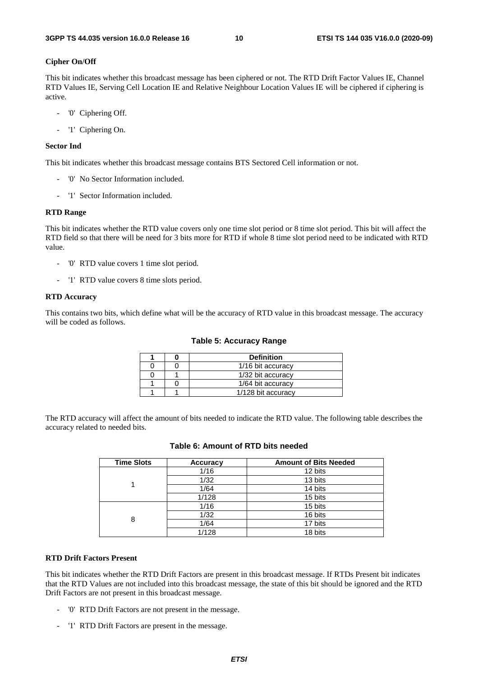#### **Cipher On/Off**

This bit indicates whether this broadcast message has been ciphered or not. The RTD Drift Factor Values IE, Channel RTD Values IE, Serving Cell Location IE and Relative Neighbour Location Values IE will be ciphered if ciphering is active.

- '0' Ciphering Off.
- '1' Ciphering On.

#### **Sector Ind**

This bit indicates whether this broadcast message contains BTS Sectored Cell information or not.

- '0' No Sector Information included.
- '1' Sector Information included.

#### **RTD Range**

This bit indicates whether the RTD value covers only one time slot period or 8 time slot period. This bit will affect the RTD field so that there will be need for 3 bits more for RTD if whole 8 time slot period need to be indicated with RTD value.

- '0' RTD value covers 1 time slot period.
- '1' RTD value covers 8 time slots period.

#### **RTD Accuracy**

This contains two bits, which define what will be the accuracy of RTD value in this broadcast message. The accuracy will be coded as follows.

|  | <b>Definition</b>  |
|--|--------------------|
|  | 1/16 bit accuracy  |
|  | 1/32 bit accuracy  |
|  | 1/64 bit accuracy  |
|  | 1/128 bit accuracy |

The RTD accuracy will affect the amount of bits needed to indicate the RTD value. The following table describes the accuracy related to needed bits.

| <b>Time Slots</b> | <b>Accuracy</b> | <b>Amount of Bits Needed</b> |
|-------------------|-----------------|------------------------------|
|                   | 1/16            | 12 bits                      |
|                   | 1/32            | 13 bits                      |
|                   | 1/64            | 14 bits                      |
|                   | 1/128           | 15 bits                      |
|                   | 1/16            | 15 bits                      |
| 8                 | 1/32            | 16 bits                      |
|                   | 1/64            | 17 bits                      |
|                   | 1/128           | 18 bits                      |

#### **Table 6: Amount of RTD bits needed**

#### **RTD Drift Factors Present**

This bit indicates whether the RTD Drift Factors are present in this broadcast message. If RTDs Present bit indicates that the RTD Values are not included into this broadcast message, the state of this bit should be ignored and the RTD Drift Factors are not present in this broadcast message.

- '0' RTD Drift Factors are not present in the message.
- '1' RTD Drift Factors are present in the message.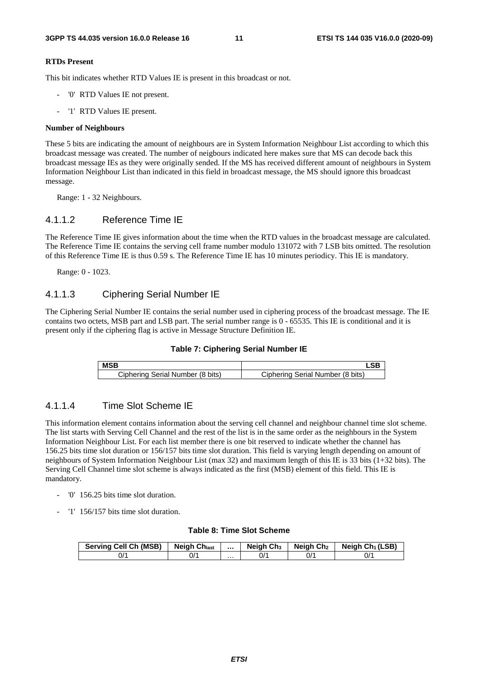#### **RTDs Present**

This bit indicates whether RTD Values IE is present in this broadcast or not.

- '0' RTD Values IE not present.
- '1' RTD Values IE present.

#### **Number of Neighbours**

These 5 bits are indicating the amount of neighbours are in System Information Neighbour List according to which this broadcast message was created. The number of neigbours indicated here makes sure that MS can decode back this broadcast message IEs as they were originally sended. If the MS has received different amount of neighbours in System Information Neighbour List than indicated in this field in broadcast message, the MS should ignore this broadcast message.

Range: 1 - 32 Neighbours.

### 4.1.1.2 Reference Time IE

The Reference Time IE gives information about the time when the RTD values in the broadcast message are calculated. The Reference Time IE contains the serving cell frame number modulo 131072 with 7 LSB bits omitted. The resolution of this Reference Time IE is thus 0.59 s. The Reference Time IE has 10 minutes periodicy. This IE is mandatory.

Range: 0 - 1023.

### 4.1.1.3 Ciphering Serial Number IE

The Ciphering Serial Number IE contains the serial number used in ciphering process of the broadcast message. The IE contains two octets, MSB part and LSB part. The serial number range is 0 - 65535. This IE is conditional and it is present only if the ciphering flag is active in Message Structure Definition IE.



| <b>MSB</b>                       |                                  |
|----------------------------------|----------------------------------|
| Ciphering Serial Number (8 bits) | Ciphering Serial Number (8 bits) |

### 4.1.1.4 Time Slot Scheme IE

This information element contains information about the serving cell channel and neighbour channel time slot scheme. The list starts with Serving Cell Channel and the rest of the list is in the same order as the neighbours in the System Information Neighbour List. For each list member there is one bit reserved to indicate whether the channel has 156.25 bits time slot duration or 156/157 bits time slot duration. This field is varying length depending on amount of neighbours of System Information Neighbour List (max 32) and maximum length of this IE is 33 bits (1+32 bits). The Serving Cell Channel time slot scheme is always indicated as the first (MSB) element of this field. This IE is mandatory.

- '0' 156.25 bits time slot duration.
- '1' 156/157 bits time slot duration.

#### **Table 8: Time Slot Scheme**

| <b>Serving Cell Ch (MSB)</b> | <b>Neigh Chlast</b> |   | Neigh Ch <sub>3</sub> | Neigh Ch2 | Neigh $Ch_1(LSB)$ |
|------------------------------|---------------------|---|-----------------------|-----------|-------------------|
| 0/1                          | 0/'                 | . | 0/′                   | 0/1       | ^/0               |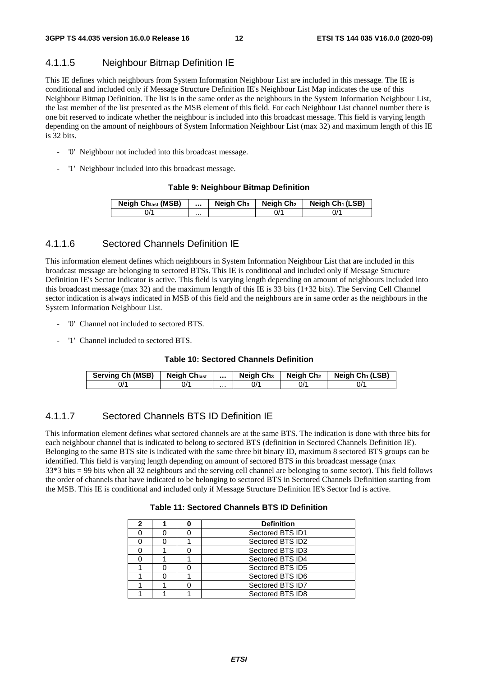### 4.1.1.5 Neighbour Bitmap Definition IE

This IE defines which neighbours from System Information Neighbour List are included in this message. The IE is conditional and included only if Message Structure Definition IE's Neighbour List Map indicates the use of this Neighbour Bitmap Definition. The list is in the same order as the neighbours in the System Information Neighbour List, the last member of the list presented as the MSB element of this field. For each Neighbour List channel number there is one bit reserved to indicate whether the neighbour is included into this broadcast message. This field is varying length depending on the amount of neighbours of System Information Neighbour List (max 32) and maximum length of this IE is 32 bits.

- '0' Neighbour not included into this broadcast message.
- '1' Neighbour included into this broadcast message.

#### **Table 9: Neighbour Bitmap Definition**

| <b>Neigh Chlast (MSB)</b> |   | Neigh Ch <sub>3</sub> | Neigh Ch <sub>2</sub> | Neigh Ch <sub>1</sub> (LSB) |
|---------------------------|---|-----------------------|-----------------------|-----------------------------|
| $J^{\prime}$              | . |                       |                       |                             |

### 4.1.1.6 Sectored Channels Definition IE

This information element defines which neighbours in System Information Neighbour List that are included in this broadcast message are belonging to sectored BTSs. This IE is conditional and included only if Message Structure Definition IE's Sector Indicator is active. This field is varying length depending on amount of neighbours included into this broadcast message (max 32) and the maximum length of this IE is 33 bits (1+32 bits). The Serving Cell Channel sector indication is always indicated in MSB of this field and the neighbours are in same order as the neighbours in the System Information Neighbour List.

- '0' Channel not included to sectored BTS.
- '1' Channel included to sectored BTS.

#### **Table 10: Sectored Channels Definition**

| Serving Ch (MSB) | <b>Neigh Chlast</b> |   | Neigh Ch <sub>3</sub> | Neigh Ch <sub>2</sub> | Neigh $Ch_1(LSB)$ |
|------------------|---------------------|---|-----------------------|-----------------------|-------------------|
| J/               |                     | . |                       | 0'                    | 0/٠               |

### 4.1.1.7 Sectored Channels BTS ID Definition IE

This information element defines what sectored channels are at the same BTS. The indication is done with three bits for each neighbour channel that is indicated to belong to sectored BTS (definition in Sectored Channels Definition IE). Belonging to the same BTS site is indicated with the same three bit binary ID, maximum 8 sectored BTS groups can be identified. This field is varying length depending on amount of sectored BTS in this broadcast message (max 33\*3 bits = 99 bits when all 32 neighbours and the serving cell channel are belonging to some sector). This field follows the order of channels that have indicated to be belonging to sectored BTS in Sectored Channels Definition starting from the MSB. This IE is conditional and included only if Message Structure Definition IE's Sector Ind is active.

#### **Table 11: Sectored Channels BTS ID Definition**

|  | <b>Definition</b> |  |  |  |
|--|-------------------|--|--|--|
|  | Sectored BTS ID1  |  |  |  |
|  | Sectored BTS ID2  |  |  |  |
|  | Sectored BTS ID3  |  |  |  |
|  | Sectored BTS ID4  |  |  |  |
|  | Sectored BTS ID5  |  |  |  |
|  | Sectored BTS ID6  |  |  |  |
|  | Sectored BTS ID7  |  |  |  |
|  | Sectored BTS ID8  |  |  |  |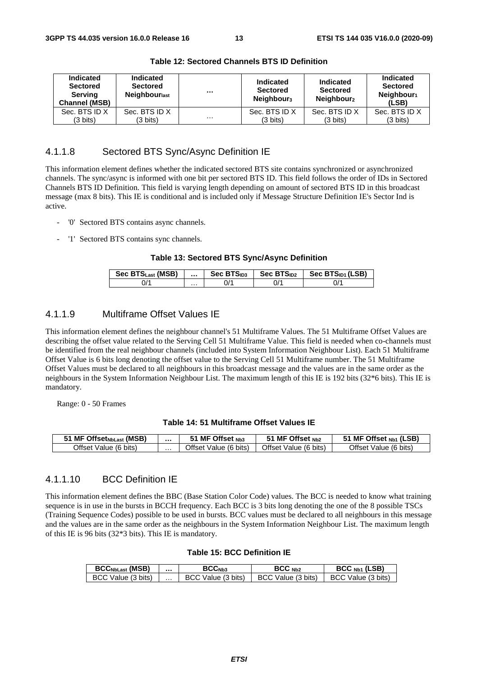| <b>Indicated</b><br><b>Sectored</b><br>Serving<br><b>Channel (MSB)</b> | <b>Indicated</b><br><b>Sectored</b><br>Neighbourlast | $\cdots$ | <b>Indicated</b><br><b>Sectored</b><br>Neighbour <sub>3</sub> | Indicated<br><b>Sectored</b><br>Neighbour <sub>2</sub> | Indicated<br><b>Sectored</b><br>Neighbour <sub>1</sub><br>(LSB) |
|------------------------------------------------------------------------|------------------------------------------------------|----------|---------------------------------------------------------------|--------------------------------------------------------|-----------------------------------------------------------------|
| Sec. BTS ID X                                                          | Sec. BTS ID X                                        |          | Sec. BTS ID X                                                 | Sec. BTS ID X                                          | Sec. BTS ID X                                                   |
| (3 bits)                                                               | (3 bits)                                             | $\cdots$ | (3 bits)                                                      | $(3 \text{ bits})$                                     | (3 bits)                                                        |

**Table 12: Sectored Channels BTS ID Definition** 

### 4.1.1.8 Sectored BTS Sync/Async Definition IE

This information element defines whether the indicated sectored BTS site contains synchronized or asynchronized channels. The sync/async is informed with one bit per sectored BTS ID. This field follows the order of IDs in Sectored Channels BTS ID Definition. This field is varying length depending on amount of sectored BTS ID in this broadcast message (max 8 bits). This IE is conditional and is included only if Message Structure Definition IE's Sector Ind is active.

- '0' Sectored BTS contains async channels.
- '1' Sectored BTS contains sync channels.

#### **Table 13: Sectored BTS Sync/Async Definition**

| Sec BTS <sub>Last</sub> (MSB) |   | Sec BTS <sub>ID3</sub> | Sec BTS <sub>ID2</sub> | Sec BTS <sub>ID1</sub> (LSB) |
|-------------------------------|---|------------------------|------------------------|------------------------------|
|                               | . |                        | "ال                    | $J^{\prime}$                 |

### 4.1.1.9 Multiframe Offset Values IE

This information element defines the neighbour channel's 51 Multiframe Values. The 51 Multiframe Offset Values are describing the offset value related to the Serving Cell 51 Multiframe Value. This field is needed when co-channels must be identified from the real neighbour channels (included into System Information Neighbour List). Each 51 Multiframe Offset Value is 6 bits long denoting the offset value to the Serving Cell 51 Multiframe number. The 51 Multiframe Offset Values must be declared to all neighbours in this broadcast message and the values are in the same order as the neighbours in the System Information Neighbour List. The maximum length of this IE is 192 bits (32\*6 bits). This IE is mandatory.

Range: 0 - 50 Frames

#### **Table 14: 51 Multiframe Offset Values IE**

| Offset <sub>NbLast</sub> (MSB)<br>51 MF . |   | 51 MF Offset Nb3                   | MF Offset Nb2                     | Offset Nb1 (LSB)<br>. MF    |
|-------------------------------------------|---|------------------------------------|-----------------------------------|-----------------------------|
| Offset Value<br>$(6 \text{ bits})$        | . | Offset Value<br>$(6 \text{ bits})$ | <b>Offset \</b><br>Value (6 bits) | Offset<br>bits'<br>Value (6 |

#### 4.1.1.10 BCC Definition IE

This information element defines the BBC (Base Station Color Code) values. The BCC is needed to know what training sequence is in use in the bursts in BCCH frequency. Each BCC is 3 bits long denoting the one of the 8 possible TSCs (Training Sequence Codes) possible to be used in bursts. BCC values must be declared to all neighbours in this message and the values are in the same order as the neighbours in the System Information Neighbour List. The maximum length of this IE is 96 bits (32\*3 bits). This IE is mandatory.

#### **Table 15: BCC Definition IE**

| <b>BCCNbLast (MSB)</b> |   | BCCNb3         | BCC Nb2        | $BCC_{Nb1}$ (LSB) |
|------------------------|---|----------------|----------------|-------------------|
| BCC.                   | . | Value (3 bits) | Value (3 bits) | Value (3 bits)    |
| `Value (3 bits)        |   | BС             | BCC.           | BCC               |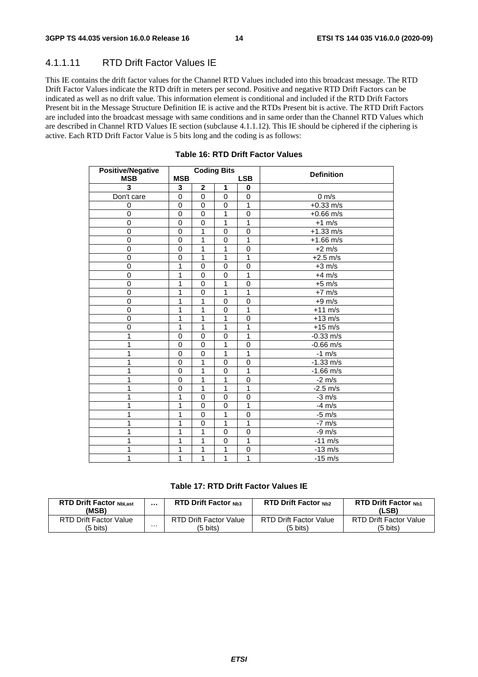### 4.1.1.11 RTD Drift Factor Values IE

This IE contains the drift factor values for the Channel RTD Values included into this broadcast message. The RTD Drift Factor Values indicate the RTD drift in meters per second. Positive and negative RTD Drift Factors can be indicated as well as no drift value. This information element is conditional and included if the RTD Drift Factors Present bit in the Message Structure Definition IE is active and the RTDs Present bit is active. The RTD Drift Factors are included into the broadcast message with same conditions and in same order than the Channel RTD Values which are described in Channel RTD Values IE section (subclause 4.1.1.12). This IE should be ciphered if the ciphering is active. Each RTD Drift Factor Value is 5 bits long and the coding is as follows:

| <b>Positive/Negative</b> |                |                | <b>Coding Bits</b> |                |                   |
|--------------------------|----------------|----------------|--------------------|----------------|-------------------|
| <b>MSB</b>               | <b>MSB</b>     |                |                    | <b>LSB</b>     | <b>Definition</b> |
| 3                        | 3              | $\mathbf{2}$   | 1                  | 0              |                   |
| Don't care               | $\Omega$       | $\mathbf 0$    | $\mathbf 0$        | $\mathbf 0$    | $0 \text{ m/s}$   |
| 0                        | 0              | $\pmb{0}$      | $\mathbf 0$        | $\overline{1}$ | $+0.33$ m/s       |
| 0                        | $\mathbf 0$    | $\pmb{0}$      | 1                  | $\mathbf 0$    | $+0.66$ m/s       |
| 0                        | $\mathbf 0$    | 0              | 1                  | $\mathbf{1}$   | $+1$ m/s          |
| 0                        | $\overline{0}$ | 1              | 0                  | $\mathbf 0$    | $+1.33$ m/s       |
| 0                        | $\Omega$       | 1              | $\mathbf 0$        | 1              | $+1.66$ m/s       |
| $\overline{0}$           | $\mathbf 0$    | $\overline{1}$ | 1                  | $\overline{0}$ | $+2$ m/s          |
| $\overline{0}$           | $\mathbf 0$    | 1              | 1                  | $\overline{1}$ | $+2.5$ m/s        |
| 0                        | 1              | 0              | 0                  | 0              | $+3$ m/s          |
| 0                        | 1              | 0              | $\mathbf 0$        | $\mathbf{1}$   | $+4$ m/s          |
| 0                        | 1              | $\overline{0}$ | 1                  | $\Omega$       | $+5$ m/s          |
| $\overline{0}$           | 1              | $\mathbf 0$    | 1                  | 1              | $+7$ m/s          |
| $\overline{0}$           | 1              | 1              | $\mathbf 0$        | $\mathbf 0$    | $+9$ m/s          |
| 0                        | 1              | 1              | 0                  | $\mathbf{1}$   | $+11 \text{ m/s}$ |
| 0                        | 1              | 1              | 1                  | $\mathbf 0$    | $+13$ m/s         |
| 0                        | 1              | 1              | 1                  | 1              | $+15$ m/s         |
| $\overline{1}$           | $\mathbf 0$    | $\mathbf 0$    | $\mathbf 0$        | $\overline{1}$ | $-0.33$ m/s       |
| 1                        | 0              | 0              | 1                  | $\mathbf 0$    | $-0.66$ m/s       |
| 1                        | 0              | 0              | 1                  | $\mathbf{1}$   | $-1$ m/s          |
| 1                        | 0              | 1              | $\mathbf 0$        | 0              | $-1.33$ m/s       |
| 1                        | 0              | 1              | 0                  | 1              | $-1.66$ m/s       |
| 1                        | $\mathbf 0$    | 1              | 1                  | 0              | $-2$ m/s          |
| 1                        | 0              | 1              | 1                  | $\overline{1}$ | $-2.5$ m/s        |
| 1                        | 1              | 0              | 0                  | $\mathbf 0$    | $-3$ m/s          |
| 1                        | 1              | $\mathbf 0$    | $\mathbf 0$        | $\overline{1}$ | $-4$ m/s          |
| 1                        | 1              | 0              | 1                  | $\mathbf 0$    | $-5$ m/s          |
| 1                        | 1              | $\mathbf 0$    | 1                  | $\overline{1}$ | $-7$ m/s          |
| 1                        | 1              | 1              | $\mathbf 0$        | $\mathbf 0$    | $-9$ m/s          |
| 1                        | 1              | 1              | 0                  | $\overline{1}$ | $-11$ m/s         |
| 1                        | 1              | 1              | 1                  | 0              | $-13$ m/s         |
| 1                        | 1              | 1              | 1                  | $\overline{1}$ | $-15$ m/s         |

#### **Table 16: RTD Drift Factor Values**

#### **Table 17: RTD Drift Factor Values IE**

| <b>RTD Drift Factor NbLast</b><br>(MSB) |   | <b>RTD Drift Factor Nb3</b>   | <b>RTD Drift Factor Nh2</b> | <b>RTD Drift Factor Nb1</b><br>(LSB) |
|-----------------------------------------|---|-------------------------------|-----------------------------|--------------------------------------|
| RTD Drift Factor Value                  |   | <b>RTD Drift Factor Value</b> | RTD Drift Factor Value      | RTD Drift Factor Value               |
| (5 bits)                                | . | (5 bits)                      | (5 bits)                    | (5 bits)                             |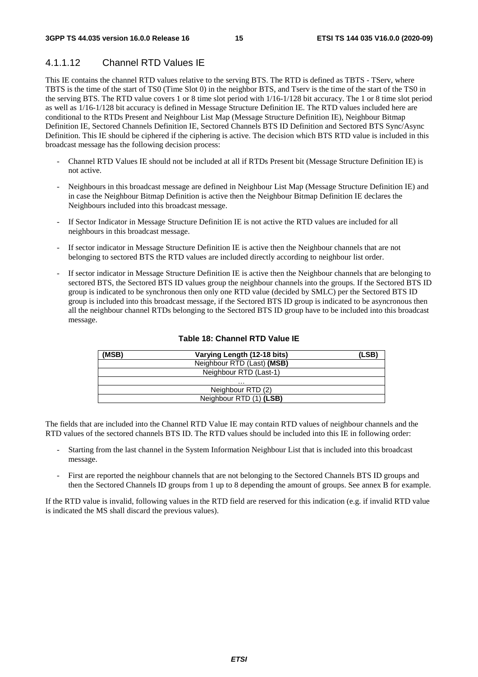### 4.1.1.12 Channel RTD Values IE

This IE contains the channel RTD values relative to the serving BTS. The RTD is defined as TBTS - TServ, where TBTS is the time of the start of TS0 (Time Slot 0) in the neighbor BTS, and Tserv is the time of the start of the TS0 in the serving BTS. The RTD value covers 1 or 8 time slot period with 1/16-1/128 bit accuracy. The 1 or 8 time slot period as well as 1/16-1/128 bit accuracy is defined in Message Structure Definition IE. The RTD values included here are conditional to the RTDs Present and Neighbour List Map (Message Structure Definition IE), Neighbour Bitmap Definition IE, Sectored Channels Definition IE, Sectored Channels BTS ID Definition and Sectored BTS Sync/Async Definition. This IE should be ciphered if the ciphering is active. The decision which BTS RTD value is included in this broadcast message has the following decision process:

- Channel RTD Values IE should not be included at all if RTDs Present bit (Message Structure Definition IE) is not active.
- Neighbours in this broadcast message are defined in Neighbour List Map (Message Structure Definition IE) and in case the Neighbour Bitmap Definition is active then the Neighbour Bitmap Definition IE declares the Neighbours included into this broadcast message.
- If Sector Indicator in Message Structure Definition IE is not active the RTD values are included for all neighbours in this broadcast message.
- If sector indicator in Message Structure Definition IE is active then the Neighbour channels that are not belonging to sectored BTS the RTD values are included directly according to neighbour list order.
- If sector indicator in Message Structure Definition IE is active then the Neighbour channels that are belonging to sectored BTS, the Sectored BTS ID values group the neighbour channels into the groups. If the Sectored BTS ID group is indicated to be synchronous then only one RTD value (decided by SMLC) per the Sectored BTS ID group is included into this broadcast message, if the Sectored BTS ID group is indicated to be asyncronous then all the neighbour channel RTDs belonging to the Sectored BTS ID group have to be included into this broadcast message.

| (MSB) | Varying Length (12-18 bits) | (LSB) |
|-------|-----------------------------|-------|
|       | Neighbour RTD (Last) (MSB)  |       |
|       | Neighbour RTD (Last-1)      |       |
|       | .                           |       |
|       | Neighbour RTD (2)           |       |
|       | Neighbour RTD (1) (LSB)     |       |

#### **Table 18: Channel RTD Value IE**

The fields that are included into the Channel RTD Value IE may contain RTD values of neighbour channels and the RTD values of the sectored channels BTS ID. The RTD values should be included into this IE in following order:

- Starting from the last channel in the System Information Neighbour List that is included into this broadcast message.
- First are reported the neighbour channels that are not belonging to the Sectored Channels BTS ID groups and then the Sectored Channels ID groups from 1 up to 8 depending the amount of groups. See annex B for example.

If the RTD value is invalid, following values in the RTD field are reserved for this indication (e.g. if invalid RTD value is indicated the MS shall discard the previous values).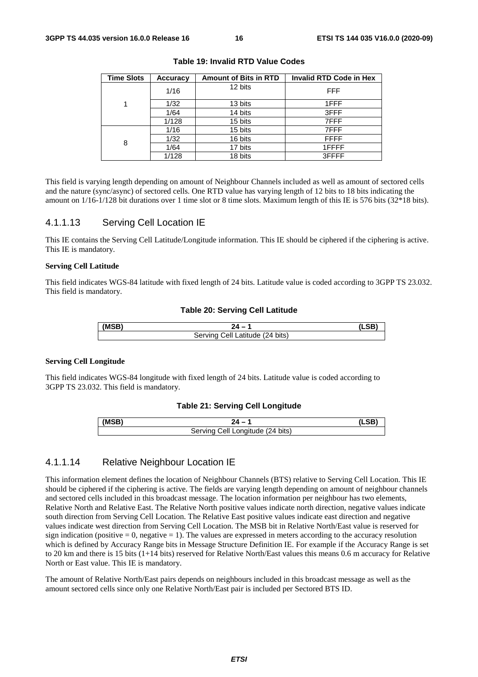| <b>Time Slots</b> | <b>Accuracy</b> | <b>Amount of Bits in RTD</b> | Invalid RTD Code in Hex |
|-------------------|-----------------|------------------------------|-------------------------|
|                   | 1/16            | 12 bits                      | <b>FFF</b>              |
| 1                 | 1/32            | 13 bits                      | 1FFF                    |
|                   | 1/64            | 14 bits                      | 3FFF                    |
|                   | 1/128           | 15 bits                      | 7FFF                    |
|                   | 1/16            | 15 bits                      | 7FFF                    |
| 8                 | 1/32            | 16 bits                      | <b>FFFF</b>             |
|                   | 1/64            | 17 bits                      | 1FFFF                   |
|                   | 1/128           | 18 bits                      | 3FFFF                   |

**Table 19: Invalid RTD Value Codes** 

This field is varying length depending on amount of Neighbour Channels included as well as amount of sectored cells and the nature (sync/async) of sectored cells. One RTD value has varying length of 12 bits to 18 bits indicating the amount on 1/16-1/128 bit durations over 1 time slot or 8 time slots. Maximum length of this IE is 576 bits (32\*18 bits).

#### 4.1.1.13 Serving Cell Location IE

This IE contains the Serving Cell Latitude/Longitude information. This IE should be ciphered if the ciphering is active. This IE is mandatory.

#### **Serving Cell Latitude**

This field indicates WGS-84 latitude with fixed length of 24 bits. Latitude value is coded according to 3GPP TS 23.032. This field is mandatory.

#### **Table 20: Serving Cell Latitude**

| (MSB) |                                     |  |
|-------|-------------------------------------|--|
|       | .24 bits)<br>Ser\<br>el.<br>atitude |  |

#### **Serving Cell Longitude**

This field indicates WGS-84 longitude with fixed length of 24 bits. Latitude value is coded according to 3GPP TS 23.032. This field is mandatory.

#### **Table 21: Serving Cell Longitude**

| Longitude (24 bits)<br>Serving<br>اا≏. |  |
|----------------------------------------|--|

#### 4.1.1.14 Relative Neighbour Location IE

This information element defines the location of Neighbour Channels (BTS) relative to Serving Cell Location. This IE should be ciphered if the ciphering is active. The fields are varying length depending on amount of neighbour channels and sectored cells included in this broadcast message. The location information per neighbour has two elements, Relative North and Relative East. The Relative North positive values indicate north direction, negative values indicate south direction from Serving Cell Location. The Relative East positive values indicate east direction and negative values indicate west direction from Serving Cell Location. The MSB bit in Relative North/East value is reserved for sign indication (positive  $= 0$ , negative  $= 1$ ). The values are expressed in meters according to the accuracy resolution which is defined by Accuracy Range bits in Message Structure Definition IE. For example if the Accuracy Range is set to 20 km and there is 15 bits (1+14 bits) reserved for Relative North/East values this means 0.6 m accuracy for Relative North or East value. This IE is mandatory.

The amount of Relative North/East pairs depends on neighbours included in this broadcast message as well as the amount sectored cells since only one Relative North/East pair is included per Sectored BTS ID.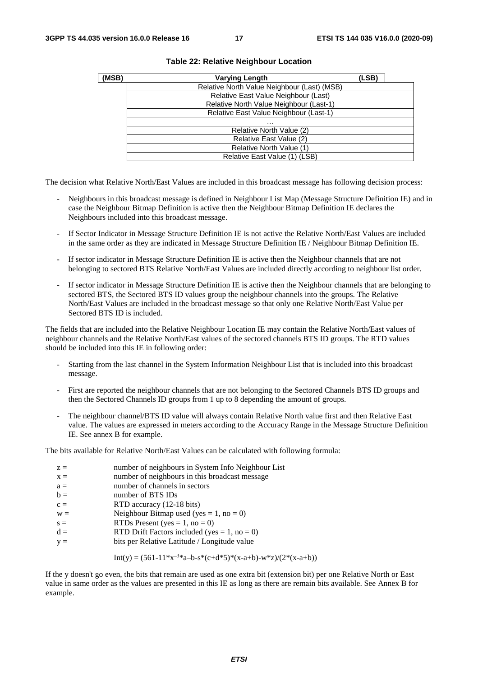| (MSB)                                  | <b>Varying Length</b>                       | (LSB) |  |  |  |  |  |  |  |
|----------------------------------------|---------------------------------------------|-------|--|--|--|--|--|--|--|
|                                        | Relative North Value Neighbour (Last) (MSB) |       |  |  |  |  |  |  |  |
|                                        | Relative East Value Neighbour (Last)        |       |  |  |  |  |  |  |  |
|                                        | Relative North Value Neighbour (Last-1)     |       |  |  |  |  |  |  |  |
| Relative East Value Neighbour (Last-1) |                                             |       |  |  |  |  |  |  |  |
|                                        | $\cdots$                                    |       |  |  |  |  |  |  |  |
|                                        | Relative North Value (2)                    |       |  |  |  |  |  |  |  |
|                                        | Relative East Value (2)                     |       |  |  |  |  |  |  |  |
|                                        | Relative North Value (1)                    |       |  |  |  |  |  |  |  |
|                                        | Relative East Value (1) (LSB)               |       |  |  |  |  |  |  |  |

#### **Table 22: Relative Neighbour Location**

The decision what Relative North/East Values are included in this broadcast message has following decision process:

- Neighbours in this broadcast message is defined in Neighbour List Map (Message Structure Definition IE) and in case the Neighbour Bitmap Definition is active then the Neighbour Bitmap Definition IE declares the Neighbours included into this broadcast message.
- If Sector Indicator in Message Structure Definition IE is not active the Relative North/East Values are included in the same order as they are indicated in Message Structure Definition IE / Neighbour Bitmap Definition IE.
- If sector indicator in Message Structure Definition IE is active then the Neighbour channels that are not belonging to sectored BTS Relative North/East Values are included directly according to neighbour list order.
- If sector indicator in Message Structure Definition IE is active then the Neighbour channels that are belonging to sectored BTS, the Sectored BTS ID values group the neighbour channels into the groups. The Relative North/East Values are included in the broadcast message so that only one Relative North/East Value per Sectored BTS ID is included.

The fields that are included into the Relative Neighbour Location IE may contain the Relative North/East values of neighbour channels and the Relative North/East values of the sectored channels BTS ID groups. The RTD values should be included into this IE in following order:

- Starting from the last channel in the System Information Neighbour List that is included into this broadcast message.
- First are reported the neighbour channels that are not belonging to the Sectored Channels BTS ID groups and then the Sectored Channels ID groups from 1 up to 8 depending the amount of groups.
- The neighbour channel/BTS ID value will always contain Relative North value first and then Relative East value. The values are expressed in meters according to the Accuracy Range in the Message Structure Definition IE. See annex B for example.

The bits available for Relative North/East Values can be calculated with following formula:

| $z =$ | number of neighbours in System Info Neighbour List |
|-------|----------------------------------------------------|
| $x =$ | number of neighbours in this broadcast message     |
| $a =$ | number of channels in sectors                      |
| $b =$ | number of BTS IDs                                  |
| $c =$ | RTD accuracy (12-18 bits)                          |
| $W =$ | Neighbour Bitmap used (yes = 1, no = 0)            |
| $s =$ | RTDs Present (yes = $1$ , no = 0)                  |
| $d =$ | RTD Drift Factors included (yes = 1, no = 0)       |
| $y =$ | bits per Relative Latitude / Longitude value       |

Int(y) = 
$$
(561-11*x^{-3}*a-b-s*(c+d*5)*(x-a+b)-w*z)/(2*(x-a+b))
$$

If the y doesn't go even, the bits that remain are used as one extra bit (extension bit) per one Relative North or East value in same order as the values are presented in this IE as long as there are remain bits available. See Annex B for example.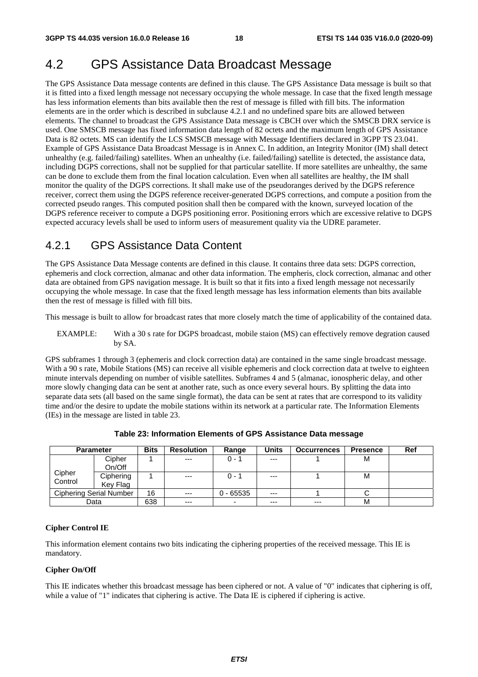## 4.2 GPS Assistance Data Broadcast Message

The GPS Assistance Data message contents are defined in this clause. The GPS Assistance Data message is built so that it is fitted into a fixed length message not necessary occupying the whole message. In case that the fixed length message has less information elements than bits available then the rest of message is filled with fill bits. The information elements are in the order which is described in subclause 4.2.1 and no undefined spare bits are allowed between elements. The channel to broadcast the GPS Assistance Data message is CBCH over which the SMSCB DRX service is used. One SMSCB message has fixed information data length of 82 octets and the maximum length of GPS Assistance Data is 82 octets. MS can identify the LCS SMSCB message with Message Identifiers declared in 3GPP TS 23.041. Example of GPS Assistance Data Broadcast Message is in Annex C. In addition, an Integrity Monitor (IM) shall detect unhealthy (e.g. failed/failing) satellites. When an unhealthy (i.e. failed/failing) satellite is detected, the assistance data, including DGPS corrections, shall not be supplied for that particular satellite. If more satellites are unhealthy, the same can be done to exclude them from the final location calculation. Even when all satellites are healthy, the IM shall monitor the quality of the DGPS corrections. It shall make use of the pseudoranges derived by the DGPS reference receiver, correct them using the DGPS reference receiver-generated DGPS corrections, and compute a position from the corrected pseudo ranges. This computed position shall then be compared with the known, surveyed location of the DGPS reference receiver to compute a DGPS positioning error. Positioning errors which are excessive relative to DGPS expected accuracy levels shall be used to inform users of measurement quality via the UDRE parameter.

### 4.2.1 GPS Assistance Data Content

The GPS Assistance Data Message contents are defined in this clause. It contains three data sets: DGPS correction, ephemeris and clock correction, almanac and other data information. The empheris, clock correction, almanac and other data are obtained from GPS navigation message. It is built so that it fits into a fixed length message not necessarily occupying the whole message. In case that the fixed length message has less information elements than bits available then the rest of message is filled with fill bits.

This message is built to allow for broadcast rates that more closely match the time of applicability of the contained data.

EXAMPLE: With a 30 s rate for DGPS broadcast, mobile staion (MS) can effectively remove degration caused by SA.

GPS subframes 1 through 3 (ephemeris and clock correction data) are contained in the same single broadcast message. With a 90 s rate, Mobile Stations (MS) can receive all visible ephemeris and clock correction data at twelve to eighteen minute intervals depending on number of visible satellites. Subframes 4 and 5 (almanac, ionospheric delay, and other more slowly changing data can be sent at another rate, such as once every several hours. By splitting the data into separate data sets (all based on the same single format), the data can be sent at rates that are correspond to its validity time and/or the desire to update the mobile stations within its network at a particular rate. The Information Elements (IEs) in the message are listed in table 23.

|         | <b>Parameter</b>        | <b>Bits</b> | <b>Resolution</b> | Range                    | Units | <b>Occurrences</b> | <b>Presence</b> | Ref |
|---------|-------------------------|-------------|-------------------|--------------------------|-------|--------------------|-----------------|-----|
|         | Cipher                  |             | $---$             | $0 - 1$                  | $---$ |                    | м               |     |
|         | On/Off                  |             |                   |                          |       |                    |                 |     |
| Cipher  | Ciphering               |             | $---$             | $0 - 1$                  | $---$ |                    | M               |     |
| Control | Key Flag                |             |                   |                          |       |                    |                 |     |
|         | Ciphering Serial Number | 16          | $---$             | $0 - 65535$              | $--$  |                    |                 |     |
|         | Data                    | 638         | $---$             | $\overline{\phantom{a}}$ | $---$ | $---$              | M               |     |

**Table 23: Information Elements of GPS Assistance Data message** 

#### **Cipher Control IE**

This information element contains two bits indicating the ciphering properties of the received message. This IE is mandatory.

#### **Cipher On/Off**

This IE indicates whether this broadcast message has been ciphered or not. A value of "0" indicates that ciphering is off, while a value of "1" indicates that ciphering is active. The Data IE is ciphered if ciphering is active.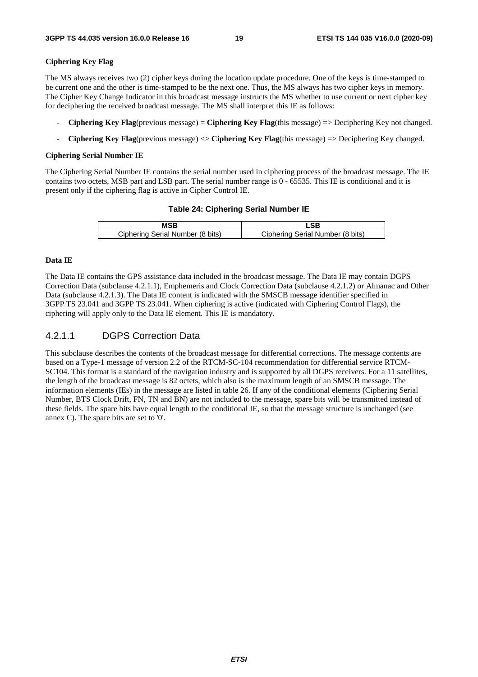#### **Ciphering Key Flag**

The MS always receives two (2) cipher keys during the location update procedure. One of the keys is time-stamped to be current one and the other is time-stamped to be the next one. Thus, the MS always has two cipher keys in memory. The Cipher Key Change Indicator in this broadcast message instructs the MS whether to use current or next cipher key for deciphering the received broadcast message. The MS shall interpret this IE as follows:

- **Ciphering Key Flag**(previous message) = **Ciphering Key Flag**(this message) => Deciphering Key not changed.
- **Ciphering Key Flag**(previous message) <> **Ciphering Key Flag**(this message) => Deciphering Key changed.

#### **Ciphering Serial Number IE**

The Ciphering Serial Number IE contains the serial number used in ciphering process of the broadcast message. The IE contains two octets, MSB part and LSB part. The serial number range is 0 - 65535. This IE is conditional and it is present only if the ciphering flag is active in Cipher Control IE.

#### **Table 24: Ciphering Serial Number IE**

| Ciphering Serial Number (8 bits) | Ciphering Serial Number (8 bits) |
|----------------------------------|----------------------------------|

#### **Data IE**

The Data IE contains the GPS assistance data included in the broadcast message. The Data IE may contain DGPS Correction Data (subclause 4.2.1.1), Emphemeris and Clock Correction Data (subclause 4.2.1.2) or Almanac and Other Data (subclause 4.2.1.3). The Data IE content is indicated with the SMSCB message identifier specified in 3GPP TS 23.041 and 3GPP TS 23.041. When ciphering is active (indicated with Ciphering Control Flags), the ciphering will apply only to the Data IE element. This IE is mandatory.

### 4.2.1.1 DGPS Correction Data

This subclause describes the contents of the broadcast message for differential corrections. The message contents are based on a Type-1 message of version 2.2 of the RTCM-SC-104 recommendation for differential service RTCM-SC104. This format is a standard of the navigation industry and is supported by all DGPS receivers. For a 11 satellites, the length of the broadcast message is 82 octets, which also is the maximum length of an SMSCB message. The information elements (IEs) in the message are listed in table 26. If any of the conditional elements (Ciphering Serial Number, BTS Clock Drift, FN, TN and BN) are not included to the message, spare bits will be transmitted instead of these fields. The spare bits have equal length to the conditional IE, so that the message structure is unchanged (see annex C). The spare bits are set to '0'.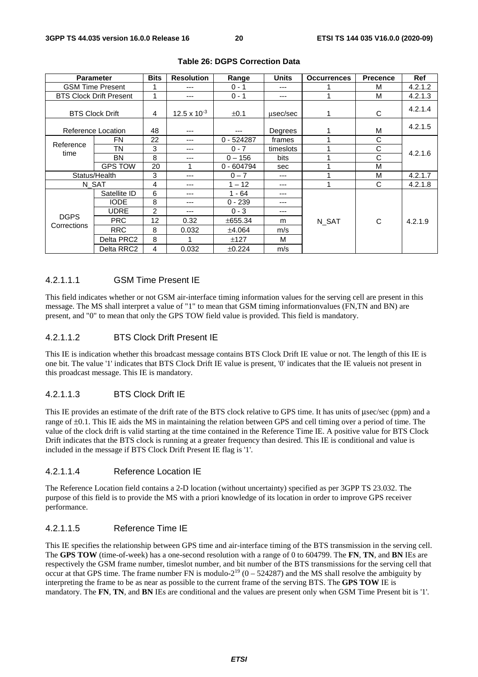| <b>Parameter</b>           |                                | <b>Bits</b> | <b>Resolution</b>     | Range        | <b>Units</b> | <b>Occurrences</b> | <b>Precence</b> | Ref     |  |  |
|----------------------------|--------------------------------|-------------|-----------------------|--------------|--------------|--------------------|-----------------|---------|--|--|
| <b>GSM Time Present</b>    |                                |             | $---$                 | $0 - 1$      | ---          |                    | м               | 4.2.1.2 |  |  |
|                            | <b>BTS Clock Drift Present</b> | 1           | $---$                 | $0 - 1$      | ---          |                    | м               | 4.2.1.3 |  |  |
|                            | <b>BTS Clock Drift</b>         | 4           | $12.5 \times 10^{-3}$ | ±0.1         | usec/sec     |                    | C               | 4.2.1.4 |  |  |
|                            | Reference Location             | 48          | $---$                 | $- - -$      | Degrees      |                    | M               | 4.2.1.5 |  |  |
|                            | FN                             | 22          | $--$                  | $0 - 524287$ | frames       |                    | C               |         |  |  |
| Reference<br>time          | ΤN                             | 3           | $---$                 | $0 - 7$      | timeslots    |                    | C               | 4.2.1.6 |  |  |
|                            | BN                             | 8           | $---$                 | $0 - 156$    | bits         |                    | C               |         |  |  |
|                            | <b>GPS TOW</b>                 | 20          | 1                     | $0 - 604794$ | sec          |                    | M               |         |  |  |
| Status/Health              |                                | 3           | $--$                  | $0 - 7$      | ---          |                    | M               | 4.2.1.7 |  |  |
|                            | N_SAT                          | 4           | ---                   | $1 - 12$     | ---          |                    | C               | 4.2.1.8 |  |  |
|                            | Satellite ID                   | 6           | $--$                  | $1 - 64$     | ---          |                    |                 |         |  |  |
|                            | <b>IODE</b>                    | 8           | $- - -$               | $0 - 239$    | ---          |                    |                 | 4.2.1.9 |  |  |
|                            | <b>UDRE</b>                    | 2           | $---$                 | $0 - 3$      | ---          |                    |                 |         |  |  |
| <b>DGPS</b><br>Corrections | <b>PRC</b>                     | 12          | 0.32                  | ±655.34      | m            | N_SAT              | С               |         |  |  |
|                            | <b>RRC</b>                     | 8           | 0.032                 | ±4.064       | m/s          |                    |                 |         |  |  |
|                            | Delta PRC2                     | 8           | 1                     | ±127         | м            |                    |                 |         |  |  |
|                            | Delta RRC2                     | 4           | 0.032                 | ±0.224       | m/s          |                    |                 |         |  |  |

#### **Table 26: DGPS Correction Data**

#### 4.2.1.1.1 GSM Time Present IE

This field indicates whether or not GSM air-interface timing information values for the serving cell are present in this message. The MS shall interpret a value of "1" to mean that GSM timing informationvalues (FN,TN and BN) are present, and "0" to mean that only the GPS TOW field value is provided. This field is mandatory.

#### 4.2.1.1.2 BTS Clock Drift Present IE

This IE is indication whether this broadcast message contains BTS Clock Drift IE value or not. The length of this IE is one bit. The value '1' indicates that BTS Clock Drift IE value is present, '0' indicates that the IE valueis not present in this proadcast message. This IE is mandatory.

#### 4.2.1.1.3 BTS Clock Drift IE

This IE provides an estimate of the drift rate of the BTS clock relative to GPS time. It has units of μsec/sec (ppm) and a range of ±0.1. This IE aids the MS in maintaining the relation between GPS and cell timing over a period of time. The value of the clock drift is valid starting at the time contained in the Reference Time IE. A positive value for BTS Clock Drift indicates that the BTS clock is running at a greater frequency than desired. This IE is conditional and value is included in the message if BTS Clock Drift Present IE flag is '1'.

#### 4.2.1.1.4 Reference Location IE

The Reference Location field contains a 2-D location (without uncertainty) specified as per 3GPP TS 23.032. The purpose of this field is to provide the MS with a priori knowledge of its location in order to improve GPS receiver performance.

#### 4.2.1.1.5 Reference Time IE

This IE specifies the relationship between GPS time and air-interface timing of the BTS transmission in the serving cell. The **GPS TOW** (time-of-week) has a one-second resolution with a range of 0 to 604799. The **FN**, **TN**, and **BN** IEs are respectively the GSM frame number, timeslot number, and bit number of the BTS transmissions for the serving cell that occur at that GPS time. The frame number FN is modulo- $2^{19}$  (0 – 524287) and the MS shall resolve the ambiguity by interpreting the frame to be as near as possible to the current frame of the serving BTS. The **GPS TOW** IE is mandatory. The **FN**, **TN**, and **BN** IEs are conditional and the values are present only when GSM Time Present bit is '1'.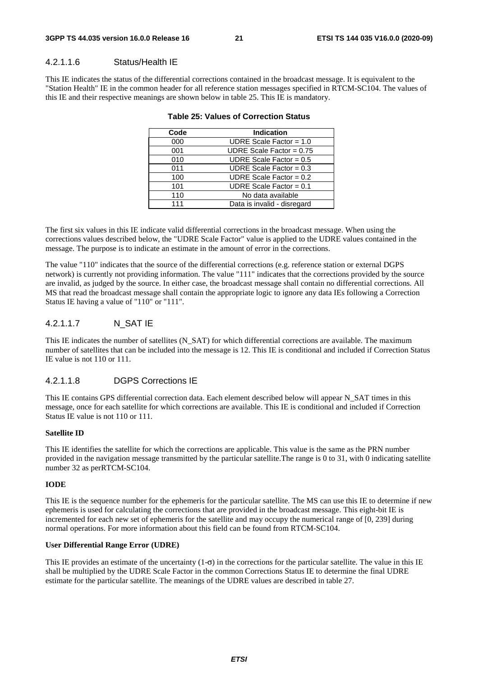#### 4.2.1.1.6 Status/Health IE

This IE indicates the status of the differential corrections contained in the broadcast message. It is equivalent to the "Station Health" IE in the common header for all reference station messages specified in RTCM-SC104. The values of this IE and their respective meanings are shown below in table 25. This IE is mandatory.

| Code | <b>Indication</b>           |
|------|-----------------------------|
| 000  | UDRE Scale Factor = $1.0$   |
| 001  | UDRE Scale Factor = $0.75$  |
| 010  | UDRE Scale Factor = $0.5$   |
| 011  | UDRE Scale Factor = $0.3$   |
| 100  | UDRE Scale Factor = $0.2$   |
| 101  | UDRE Scale Factor = $0.1$   |
| 110  | No data available           |
| 111  | Data is invalid - disregard |

#### **Table 25: Values of Correction Status**

The first six values in this IE indicate valid differential corrections in the broadcast message. When using the corrections values described below, the "UDRE Scale Factor" value is applied to the UDRE values contained in the message. The purpose is to indicate an estimate in the amount of error in the corrections.

The value "110" indicates that the source of the differential corrections (e.g. reference station or external DGPS network) is currently not providing information. The value "111" indicates that the corrections provided by the source are invalid, as judged by the source. In either case, the broadcast message shall contain no differential corrections. All MS that read the broadcast message shall contain the appropriate logic to ignore any data IEs following a Correction Status IE having a value of "110" or "111".

#### 4.2.1.1.7 N\_SAT IE

This IE indicates the number of satellites (N\_SAT) for which differential corrections are available. The maximum number of satellites that can be included into the message is 12. This IE is conditional and included if Correction Status IE value is not 110 or 111.

#### 4.2.1.1.8 DGPS Corrections IE

This IE contains GPS differential correction data. Each element described below will appear N\_SAT times in this message, once for each satellite for which corrections are available. This IE is conditional and included if Correction Status IE value is not 110 or 111.

#### **Satellite ID**

This IE identifies the satellite for which the corrections are applicable. This value is the same as the PRN number provided in the navigation message transmitted by the particular satellite.The range is 0 to 31, with 0 indicating satellite number 32 as perRTCM-SC104.

#### **IODE**

This IE is the sequence number for the ephemeris for the particular satellite. The MS can use this IE to determine if new ephemeris is used for calculating the corrections that are provided in the broadcast message. This eight-bit IE is incremented for each new set of ephemeris for the satellite and may occupy the numerical range of [0, 239] during normal operations. For more information about this field can be found from RTCM-SC104.

#### **User Differential Range Error (UDRE)**

This IE provides an estimate of the uncertainty  $(1-\sigma)$  in the corrections for the particular satellite. The value in this IE shall be multiplied by the UDRE Scale Factor in the common Corrections Status IE to determine the final UDRE estimate for the particular satellite. The meanings of the UDRE values are described in table 27.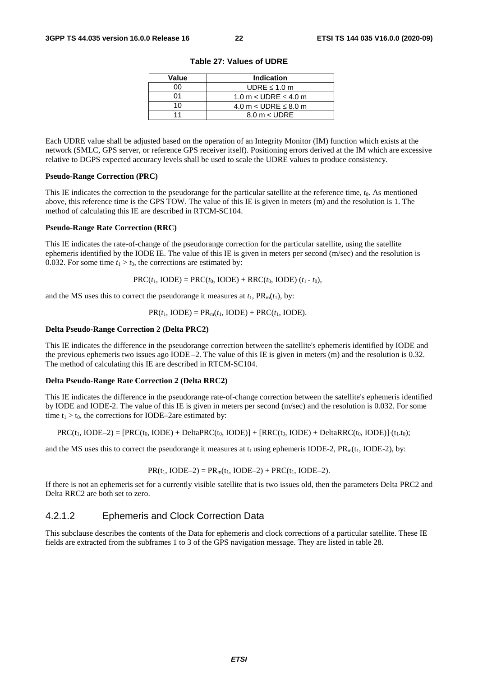| Value | Indication                    |
|-------|-------------------------------|
| იი    | UDRE $\leq 1.0$ m             |
| ሰ1    | 1.0 m $<$ UDRE $\leq$ 4.0 m   |
| 10    | 4.0 m $<$ UDRE $\leq$ 8.0 m   |
| 11    | $8.0 \text{ m} < \text{UDRE}$ |

**Table 27: Values of UDRE** 

Each UDRE value shall be adjusted based on the operation of an Integrity Monitor (IM) function which exists at the network (SMLC, GPS server, or reference GPS receiver itself). Positioning errors derived at the IM which are excessive relative to DGPS expected accuracy levels shall be used to scale the UDRE values to produce consistency.

#### **Pseudo-Range Correction (PRC)**

This IE indicates the correction to the pseudorange for the particular satellite at the reference time, *t*0. As mentioned above, this reference time is the GPS TOW. The value of this IE is given in meters (m) and the resolution is 1. The method of calculating this IE are described in RTCM-SC104.

#### **Pseudo-Range Rate Correction (RRC)**

This IE indicates the rate-of-change of the pseudorange correction for the particular satellite, using the satellite ephemeris identified by the IODE IE. The value of this IE is given in meters per second (m/sec) and the resolution is 0.032. For some time  $t_1 > t_0$ , the corrections are estimated by:

 $PRC(t_1, \text{IODE}) = PRC(t_0, \text{IODE}) + RRC(t_0, \text{IODE}) \cdot (t_1 - t_0),$ 

and the MS uses this to correct the pseudorange it measures at  $t_1$ ,  $PR_m(t_1)$ , by:

 $PR(t_1, \text{IODE}) = PR_m(t_1, \text{IODE}) + PRC(t_1, \text{IODE}).$ 

#### **Delta Pseudo-Range Correction 2 (Delta PRC2)**

This IE indicates the difference in the pseudorange correction between the satellite's ephemeris identified by IODE and the previous ephemeris two issues ago IODE –2. The value of this IE is given in meters (m) and the resolution is 0.32. The method of calculating this IE are described in RTCM-SC104.

#### **Delta Pseudo-Range Rate Correction 2 (Delta RRC2)**

This IE indicates the difference in the pseudorange rate-of-change correction between the satellite's ephemeris identified by IODE and IODE-2. The value of this IE is given in meters per second (m/sec) and the resolution is 0.032. For some time  $t_1 > t_0$ , the corrections for IODE–2are estimated by:

$$
PRC(t_1, \text{IODE-2}) = [PRC(t_0, \text{IODE}) + \text{Delta}PRC(t_0, \text{IODE})] + [RRC(t_0, \text{IODE}) + \text{Delta}RRC(t_0, \text{IODE}) + (t_1, t_0);
$$

and the MS uses this to correct the pseudorange it measures at  $t_1$  using ephemeris IODE-2, PR<sub>m</sub>( $t_1$ , IODE-2), by:

$$
PR(t_1, IODE-2) = PR_m(t_1, IODE-2) + PRC(t_1, IODE-2).
$$

If there is not an ephemeris set for a currently visible satellite that is two issues old, then the parameters Delta PRC2 and Delta RRC2 are both set to zero.

### 4.2.1.2 Ephemeris and Clock Correction Data

This subclause describes the contents of the Data for ephemeris and clock corrections of a particular satellite. These IE fields are extracted from the subframes 1 to 3 of the GPS navigation message. They are listed in table 28.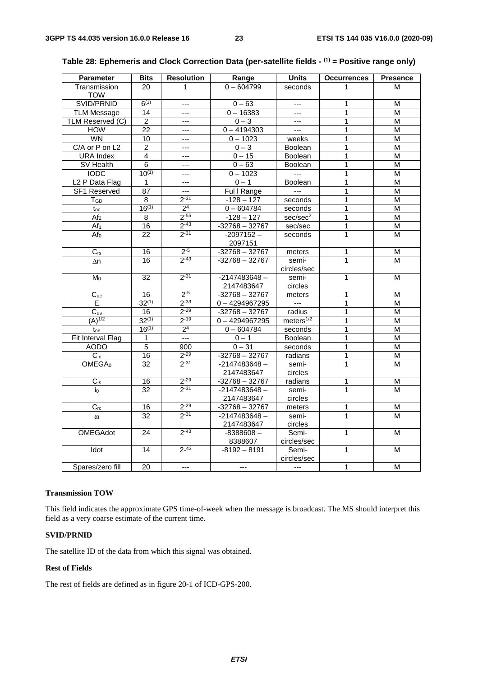| <b>Parameter</b>           | <b>Bits</b>     | <b>Resolution</b> | Range            | <b>Units</b>          | <b>Occurrences</b> | <b>Presence</b>         |
|----------------------------|-----------------|-------------------|------------------|-----------------------|--------------------|-------------------------|
| Transmission               | 20              | 1                 | $0 - 604799$     | seconds               | 1                  | м                       |
| <b>TOW</b>                 |                 |                   |                  |                       |                    |                         |
| SVID/PRNID                 | $6^{(1)}$       | $---$             | $0 - 63$         | $\overline{a}$        | 1                  | M                       |
| <b>TLM Message</b>         | 14              | $---$             | $0 - 16383$      | $\overline{a}$        | 1                  | M                       |
| TLM Reserved (C)           | $\overline{2}$  | $---$             | $0 - 3$          | $\overline{a}$        | 1                  | $\overline{\mathsf{M}}$ |
| <b>HOW</b>                 | 22              | $---$             | $0 - 4194303$    | $\overline{a}$        | 1                  | M                       |
| WN                         | 10              | $---$             | $0 - 1023$       | weeks                 | 1                  | M                       |
| C/A or P on L2             | $\overline{c}$  | ---               | $0 - 3$          | Boolean               | 1                  | M                       |
| <b>URA</b> Index           | 4               | $---$             | $0 - 15$         | <b>Boolean</b>        | 1                  | $\overline{\mathsf{M}}$ |
| SV Health                  | 6               | $\cdots$          | $0 - 63$         | Boolean               | 1                  | M                       |
| <b>IODC</b>                | $10^{(1)}$      | $---$             | $0 - 1023$       | $\sim$                | 1                  | M                       |
| L <sub>2</sub> P Data Flag | 1               | $\overline{a}$    | $0 - 1$          | <b>Boolean</b>        | 1                  | $\overline{M}$          |
| SF1 Reserved               | 87              | $\overline{a}$    | Ful I Range      | $\sim$                | 1                  | M                       |
| T <sub>GD</sub>            | 8               | $2 - 31$          | $-128 - 127$     | seconds               | 1                  | M                       |
| toc                        | $16^{(1)}$      | 2 <sup>4</sup>    | $0 - 604784$     | seconds               | 1                  | M                       |
| Af <sub>2</sub>            | 8               | $2 - 55$          | $-128 - 127$     | sec/sec <sup>2</sup>  | 1                  | M                       |
| Af <sub>1</sub>            | 16              | $2 - 43$          | $-32768 - 32767$ | sec/sec               | 1                  | $\overline{M}$          |
| $Af_0$                     | $\overline{22}$ | $2 - 31$          | $-2097152 -$     | seconds               | 1                  | M                       |
|                            |                 |                   | 2097151          |                       |                    |                         |
| $C_{rs}$                   | 16              | $2^{-5}$          | $-32768 - 32767$ | meters                | 1                  | M                       |
| Δn                         | 16              | $2 - 43$          | $-32768 - 32767$ | semi-                 | 1                  | M                       |
|                            |                 |                   |                  | circles/sec           |                    |                         |
| Mo                         | 32              | $2 - 31$          | $-2147483648 -$  | semi-                 | 1                  | M                       |
|                            |                 |                   | 2147483647       | circles               |                    |                         |
| $C_{uc}$                   | 16              | $2^{-5}$          | $-32768 - 32767$ | meters                | 1                  | M                       |
| E.                         | $32^{(1)}$      | $2 - 33$          | $0 - 4294967295$ | $\overline{a}$        | 1                  | M                       |
| $C_{us}$                   | 16              | $2 - 29$          | $-32768 - 32767$ | radius                | 1                  | $\overline{M}$          |
| $(A)^{1/2}$                | $32^{(1)}$      | $2 - 19$          | $0 - 4294967295$ | meters <sup>1/2</sup> | 1                  | M                       |
| toe                        | $16^{(1)}$      | $\overline{2^4}$  | $0 - 604784$     | seconds               | 1                  | M                       |
| Fit Interval Flag          | 1               | $\overline{a}$    | $0 - 1$          | Boolean               | 1                  | $\overline{M}$          |
| <b>AODO</b>                | $\overline{5}$  | 900               | $0 - 31$         | seconds               | 1                  | M                       |
| $\overline{C_{ic}}$        | 16              | $2 - 29$          | $-32768 - 32767$ | radians               | 1                  | $\overline{\mathsf{M}}$ |
| OMEGA <sub>0</sub>         | 32              | $2^{-31}$         | $-2147483648 -$  | semi-                 | $\mathbf{1}$       | M                       |
|                            |                 |                   | 2147483647       | circles               |                    |                         |
| $C_{is}$                   | 16              | $2 - 29$          | $-32768 - 32767$ | radians               | 1                  | M                       |
| io                         | 32              | $2 - 31$          | $-2147483648 -$  | semi-                 | 1                  | $\overline{M}$          |
|                            |                 |                   | 2147483647       | circles               |                    |                         |
| $C_{rc}$                   | 16              | $2 - 29$          | $-32768 - 32767$ | meters                | 1                  | M                       |
| $\omega$                   | 32              | $2 - 31$          | $-2147483648 -$  | semi-                 | $\mathbf{1}$       | M                       |
|                            |                 |                   | 2147483647       | circles               |                    |                         |
| <b>OMEGAdot</b>            | 24              | $2 - 43$          | $-8388608-$      | Semi-                 | $\mathbf{1}$       | M                       |
|                            |                 |                   | 8388607          | circles/sec           |                    |                         |
| Idot                       | 14              | $2 - 43$          | $-8192 - 8191$   | Semi-                 | $\mathbf{1}$       | м                       |
|                            |                 |                   |                  | circles/sec           |                    |                         |
| Spares/zero fill           | 20              | $---$             | $---$            | $---$                 | $\mathbf{1}$       | M                       |

### **Table 28: Ephemeris and Clock Correction Data (per-satellite fields - (1) = Positive range only)**

#### **Transmission TOW**

This field indicates the approximate GPS time-of-week when the message is broadcast. The MS should interpret this field as a very coarse estimate of the current time.

#### **SVID/PRNID**

The satellite ID of the data from which this signal was obtained.

#### **Rest of Fields**

The rest of fields are defined as in figure 20-1 of ICD-GPS-200.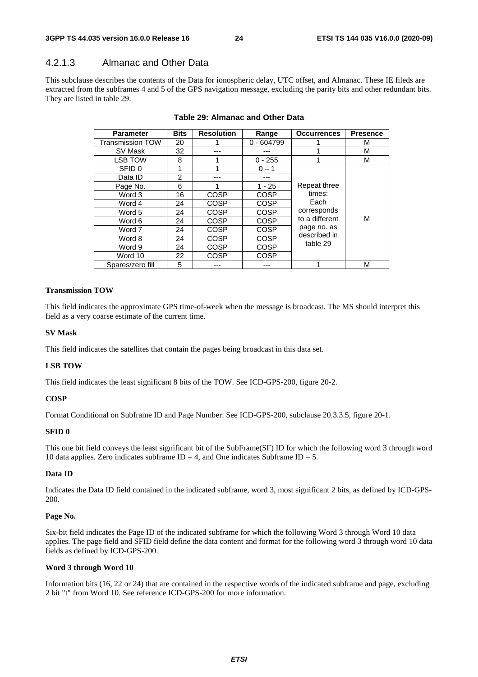### 4.2.1.3 Almanac and Other Data

This subclause describes the contents of the Data for ionospheric delay, UTC offset, and Almanac. These IE fileds are extracted from the subframes 4 and 5 of the GPS navigation message, excluding the parity bits and other redundant bits. They are listed in table 29.

| <b>Parameter</b>        | <b>Bits</b>    | <b>Resolution</b> | Range        | <b>Occurrences</b> | <b>Presence</b> |
|-------------------------|----------------|-------------------|--------------|--------------------|-----------------|
| <b>Transmission TOW</b> | 20             |                   | $0 - 604799$ |                    | М               |
| SV Mask                 | 32             |                   | ---          |                    | М               |
| <b>LSB TOW</b>          | 8              |                   | $0 - 255$    |                    | М               |
| SFID 0                  | 1              |                   | $0 - 1$      |                    |                 |
| Data ID                 | $\overline{2}$ | ---               | ---          |                    |                 |
| Page No.                | 6              | 1                 | $1 - 25$     | Repeat three       |                 |
| Word 3                  | 16             | <b>COSP</b>       | COSP         | times:             |                 |
| Word 4                  | 24             | <b>COSP</b>       | COSP         | Each               |                 |
| Word 5                  | 24             | <b>COSP</b>       | COSP         | corresponds        |                 |
| Word 6                  | 24             | <b>COSP</b>       | COSP         | to a different     | М               |
| Word 7                  | 24             | <b>COSP</b>       | COSP         | page no. as        |                 |
| Word 8                  | 24             | <b>COSP</b>       | <b>COSP</b>  | described in       |                 |
| Word 9                  | 24             | <b>COSP</b>       | COSP         | table 29           |                 |
| Word 10                 | 22             | <b>COSP</b>       | <b>COSP</b>  |                    |                 |
| Spares/zero fill        | 5              |                   |              |                    | М               |

#### **Table 29: Almanac and Other Data**

#### **Transmission TOW**

This field indicates the approximate GPS time-of-week when the message is broadcast. The MS should interpret this field as a very coarse estimate of the current time.

#### **SV Mask**

This field indicates the satellites that contain the pages being broadcast in this data set.

#### **LSB TOW**

This field indicates the least significant 8 bits of the TOW. See ICD-GPS-200, figure 20-2.

#### **COSP**

Format Conditional on Subframe ID and Page Number. See ICD-GPS-200, subclause 20.3.3.5, figure 20-1.

#### **SFID 0**

This one bit field conveys the least significant bit of the SubFrame(SF) ID for which the following word 3 through word 10 data applies. Zero indicates subframe  $ID = 4$ , and One indicates Subframe  $ID = 5$ .

#### **Data ID**

Indicates the Data ID field contained in the indicated subframe, word 3, most significant 2 bits, as defined by ICD-GPS-200.

#### **Page No.**

Six-bit field indicates the Page ID of the indicated subframe for which the following Word 3 through Word 10 data applies. The page field and SFID field define the data content and format for the following word 3 through word 10 data fields as defined by ICD-GPS-200.

#### **Word 3 through Word 10**

Information bits (16, 22 or 24) that are contained in the respective words of the indicated subframe and page, excluding 2 bit "t" from Word 10. See reference ICD-GPS-200 for more information.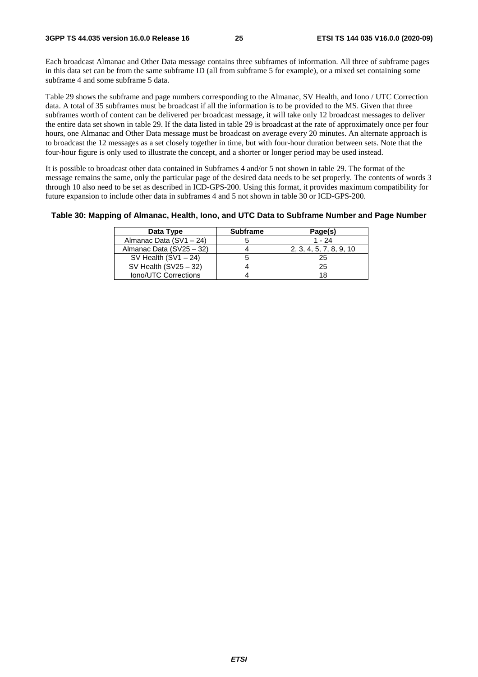Each broadcast Almanac and Other Data message contains three subframes of information. All three of subframe pages in this data set can be from the same subframe ID (all from subframe 5 for example), or a mixed set containing some subframe 4 and some subframe 5 data.

Table 29 shows the subframe and page numbers corresponding to the Almanac, SV Health, and Iono / UTC Correction data. A total of 35 subframes must be broadcast if all the information is to be provided to the MS. Given that three subframes worth of content can be delivered per broadcast message, it will take only 12 broadcast messages to deliver the entire data set shown in table 29. If the data listed in table 29 is broadcast at the rate of approximately once per four hours, one Almanac and Other Data message must be broadcast on average every 20 minutes. An alternate approach is to broadcast the 12 messages as a set closely together in time, but with four-hour duration between sets. Note that the four-hour figure is only used to illustrate the concept, and a shorter or longer period may be used instead.

It is possible to broadcast other data contained in Subframes 4 and/or 5 not shown in table 29. The format of the message remains the same, only the particular page of the desired data needs to be set properly. The contents of words 3 through 10 also need to be set as described in ICD-GPS-200. Using this format, it provides maximum compatibility for future expansion to include other data in subframes 4 and 5 not shown in table 30 or ICD-GPS-200.

**Table 30: Mapping of Almanac, Health, Iono, and UTC Data to Subframe Number and Page Number** 

| Data Type                 | <b>Subframe</b> | Page(s)                 |
|---------------------------|-----------------|-------------------------|
| Almanac Data $(SV1 - 24)$ |                 | $1 - 24$                |
| Almanac Data (SV25 - 32)  |                 | 2, 3, 4, 5, 7, 8, 9, 10 |
| SV Health $(SV1 - 24)$    |                 | 25                      |
| SV Health $(SV25 - 32)$   |                 | 25                      |
| Iono/UTC Corrections      |                 |                         |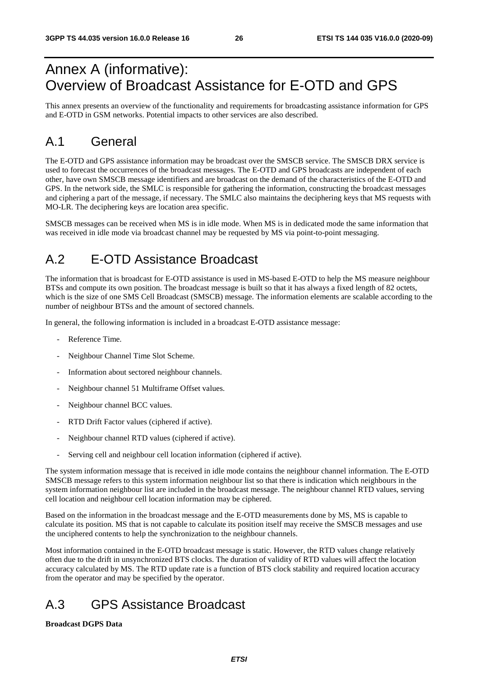## Annex A (informative): Overview of Broadcast Assistance for E-OTD and GPS

This annex presents an overview of the functionality and requirements for broadcasting assistance information for GPS and E-OTD in GSM networks. Potential impacts to other services are also described.

## A.1 General

The E-OTD and GPS assistance information may be broadcast over the SMSCB service. The SMSCB DRX service is used to forecast the occurrences of the broadcast messages. The E-OTD and GPS broadcasts are independent of each other, have own SMSCB message identifiers and are broadcast on the demand of the characteristics of the E-OTD and GPS. In the network side, the SMLC is responsible for gathering the information, constructing the broadcast messages and ciphering a part of the message, if necessary. The SMLC also maintains the deciphering keys that MS requests with MO-LR. The deciphering keys are location area specific.

SMSCB messages can be received when MS is in idle mode. When MS is in dedicated mode the same information that was received in idle mode via broadcast channel may be requested by MS via point-to-point messaging.

## A.2 E-OTD Assistance Broadcast

The information that is broadcast for E-OTD assistance is used in MS-based E-OTD to help the MS measure neighbour BTSs and compute its own position. The broadcast message is built so that it has always a fixed length of 82 octets, which is the size of one SMS Cell Broadcast (SMSCB) message. The information elements are scalable according to the number of neighbour BTSs and the amount of sectored channels.

In general, the following information is included in a broadcast E-OTD assistance message:

- Reference Time.
- Neighbour Channel Time Slot Scheme.
- Information about sectored neighbour channels.
- Neighbour channel 51 Multiframe Offset values.
- Neighbour channel BCC values.
- RTD Drift Factor values (ciphered if active).
- Neighbour channel RTD values (ciphered if active).
- Serving cell and neighbour cell location information (ciphered if active).

The system information message that is received in idle mode contains the neighbour channel information. The E-OTD SMSCB message refers to this system information neighbour list so that there is indication which neighbours in the system information neighbour list are included in the broadcast message. The neighbour channel RTD values, serving cell location and neighbour cell location information may be ciphered.

Based on the information in the broadcast message and the E-OTD measurements done by MS, MS is capable to calculate its position. MS that is not capable to calculate its position itself may receive the SMSCB messages and use the unciphered contents to help the synchronization to the neighbour channels.

Most information contained in the E-OTD broadcast message is static. However, the RTD values change relatively often due to the drift in unsynchronized BTS clocks. The duration of validity of RTD values will affect the location accuracy calculated by MS. The RTD update rate is a function of BTS clock stability and required location accuracy from the operator and may be specified by the operator.

## A.3 GPS Assistance Broadcast

#### **Broadcast DGPS Data**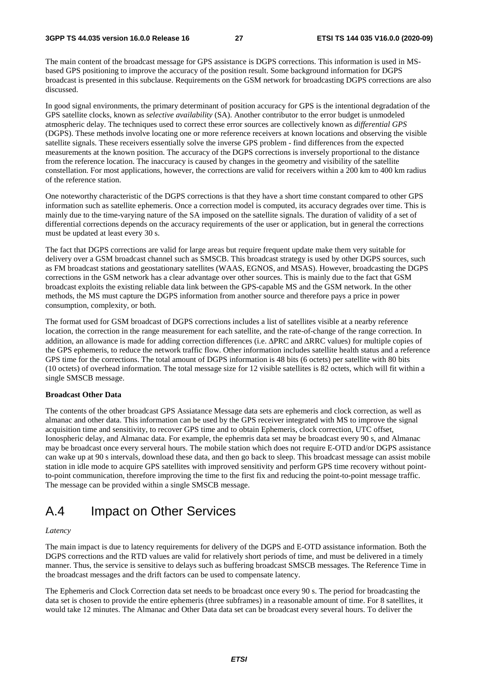The main content of the broadcast message for GPS assistance is DGPS corrections. This information is used in MSbased GPS positioning to improve the accuracy of the position result. Some background information for DGPS broadcast is presented in this subclause. Requirements on the GSM network for broadcasting DGPS corrections are also discussed.

In good signal environments, the primary determinant of position accuracy for GPS is the intentional degradation of the GPS satellite clocks, known as *selective availability* (SA). Another contributor to the error budget is unmodeled atmospheric delay. The techniques used to correct these error sources are collectively known as *differential GPS* (DGPS). These methods involve locating one or more reference receivers at known locations and observing the visible satellite signals. These receivers essentially solve the inverse GPS problem - find differences from the expected measurements at the known position. The accuracy of the DGPS corrections is inversely proportional to the distance from the reference location. The inaccuracy is caused by changes in the geometry and visibility of the satellite constellation. For most applications, however, the corrections are valid for receivers within a 200 km to 400 km radius of the reference station.

One noteworthy characteristic of the DGPS corrections is that they have a short time constant compared to other GPS information such as satellite ephemeris. Once a correction model is computed, its accuracy degrades over time. This is mainly due to the time-varying nature of the SA imposed on the satellite signals. The duration of validity of a set of differential corrections depends on the accuracy requirements of the user or application, but in general the corrections must be updated at least every 30 s.

The fact that DGPS corrections are valid for large areas but require frequent update make them very suitable for delivery over a GSM broadcast channel such as SMSCB. This broadcast strategy is used by other DGPS sources, such as FM broadcast stations and geostationary satellites (WAAS, EGNOS, and MSAS). However, broadcasting the DGPS corrections in the GSM network has a clear advantage over other sources. This is mainly due to the fact that GSM broadcast exploits the existing reliable data link between the GPS-capable MS and the GSM network. In the other methods, the MS must capture the DGPS information from another source and therefore pays a price in power consumption, complexity, or both.

The format used for GSM broadcast of DGPS corrections includes a list of satellites visible at a nearby reference location, the correction in the range measurement for each satellite, and the rate-of-change of the range correction. In addition, an allowance is made for adding correction differences (i.e. ΔPRC and ΔRRC values) for multiple copies of the GPS ephemeris, to reduce the network traffic flow. Other information includes satellite health status and a reference GPS time for the corrections. The total amount of DGPS information is 48 bits (6 octets) per satellite with 80 bits (10 octets) of overhead information. The total message size for 12 visible satellites is 82 octets, which will fit within a single SMSCB message.

#### **Broadcast Other Data**

The contents of the other broadcast GPS Assiatance Message data sets are ephemeris and clock correction, as well as almanac and other data. This information can be used by the GPS receiver integrated with MS to improve the signal acquisition time and sensitivity, to recover GPS time and to obtain Ephemeris, clock correction, UTC offset, Ionospheric delay, and Almanac data. For example, the ephemris data set may be broadcast every 90 s, and Almanac may be broadcast once every serveral hours. The mobile station which does not require E-OTD and/or DGPS assistance can wake up at 90 s intervals, download these data, and then go back to sleep. This broadcast message can assist mobile station in idle mode to acquire GPS satellites with improved sensitivity and perform GPS time recovery without pointto-point communication, therefore improving the time to the first fix and reducing the point-to-point message traffic. The message can be provided within a single SMSCB message.

## A.4 Impact on Other Services

#### *Latency*

The main impact is due to latency requirements for delivery of the DGPS and E-OTD assistance information. Both the DGPS corrections and the RTD values are valid for relatively short periods of time, and must be delivered in a timely manner. Thus, the service is sensitive to delays such as buffering broadcast SMSCB messages. The Reference Time in the broadcast messages and the drift factors can be used to compensate latency.

The Ephemeris and Clock Correction data set needs to be broadcast once every 90 s. The period for broadcasting the data set is chosen to provide the entire ephemeris (three subframes) in a reasonable amount of time. For 8 satellites, it would take 12 minutes. The Almanac and Other Data data set can be broadcast every several hours. To deliver the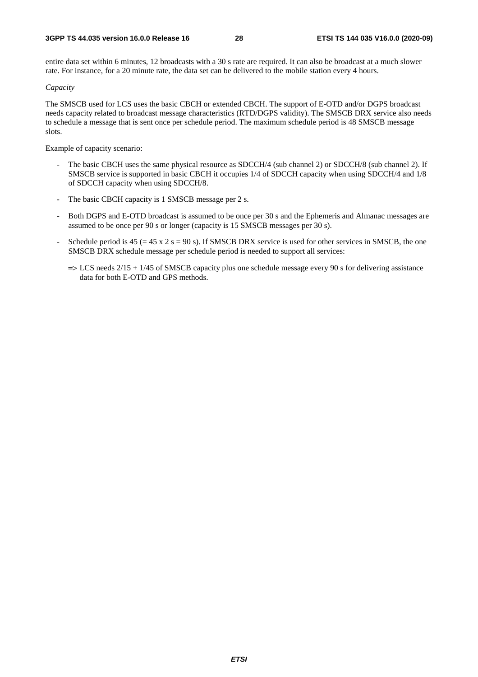entire data set within 6 minutes, 12 broadcasts with a 30 s rate are required. It can also be broadcast at a much slower rate. For instance, for a 20 minute rate, the data set can be delivered to the mobile station every 4 hours.

#### *Capacity*

The SMSCB used for LCS uses the basic CBCH or extended CBCH. The support of E-OTD and/or DGPS broadcast needs capacity related to broadcast message characteristics (RTD/DGPS validity). The SMSCB DRX service also needs to schedule a message that is sent once per schedule period. The maximum schedule period is 48 SMSCB message slots.

Example of capacity scenario:

- The basic CBCH uses the same physical resource as SDCCH/4 (sub channel 2) or SDCCH/8 (sub channel 2). If SMSCB service is supported in basic CBCH it occupies 1/4 of SDCCH capacity when using SDCCH/4 and 1/8 of SDCCH capacity when using SDCCH/8.
- The basic CBCH capacity is 1 SMSCB message per 2 s.
- Both DGPS and E-OTD broadcast is assumed to be once per 30 s and the Ephemeris and Almanac messages are assumed to be once per 90 s or longer (capacity is 15 SMSCB messages per 30 s).
- Schedule period is  $45 (= 45 \times 2 \text{ s} = 90 \text{ s})$ . If SMSCB DRX service is used for other services in SMSCB, the one SMSCB DRX schedule message per schedule period is needed to support all services:
	- $\Rightarrow$  LCS needs 2/15 + 1/45 of SMSCB capacity plus one schedule message every 90 s for delivering assistance data for both E-OTD and GPS methods.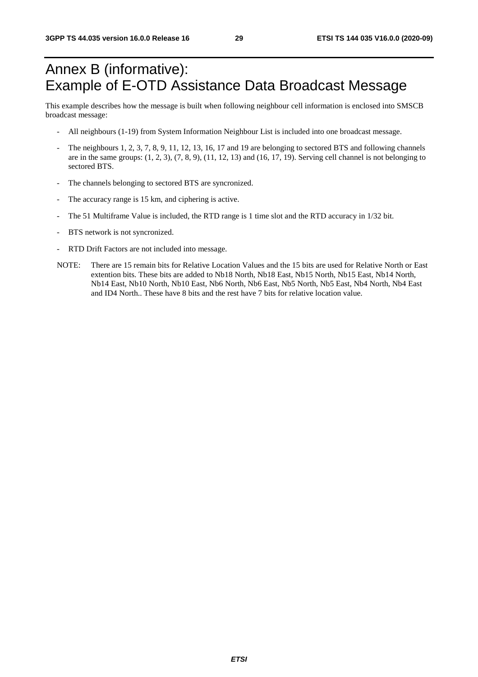## Annex B (informative): Example of E-OTD Assistance Data Broadcast Message

This example describes how the message is built when following neighbour cell information is enclosed into SMSCB broadcast message:

- All neighbours (1-19) from System Information Neighbour List is included into one broadcast message.
- The neighbours 1, 2, 3, 7, 8, 9, 11, 12, 13, 16, 17 and 19 are belonging to sectored BTS and following channels are in the same groups:  $(1, 2, 3)$ ,  $(7, 8, 9)$ ,  $(11, 12, 13)$  and  $(16, 17, 19)$ . Serving cell channel is not belonging to sectored BTS.
- The channels belonging to sectored BTS are syncronized.
- The accuracy range is 15 km, and ciphering is active.
- The 51 Multiframe Value is included, the RTD range is 1 time slot and the RTD accuracy in  $1/32$  bit.
- BTS network is not syncronized.
- RTD Drift Factors are not included into message.
- NOTE: There are 15 remain bits for Relative Location Values and the 15 bits are used for Relative North or East extention bits. These bits are added to Nb18 North, Nb18 East, Nb15 North, Nb15 East, Nb14 North, Nb14 East, Nb10 North, Nb10 East, Nb6 North, Nb6 East, Nb5 North, Nb5 East, Nb4 North, Nb4 East and ID4 North.. These have 8 bits and the rest have 7 bits for relative location value.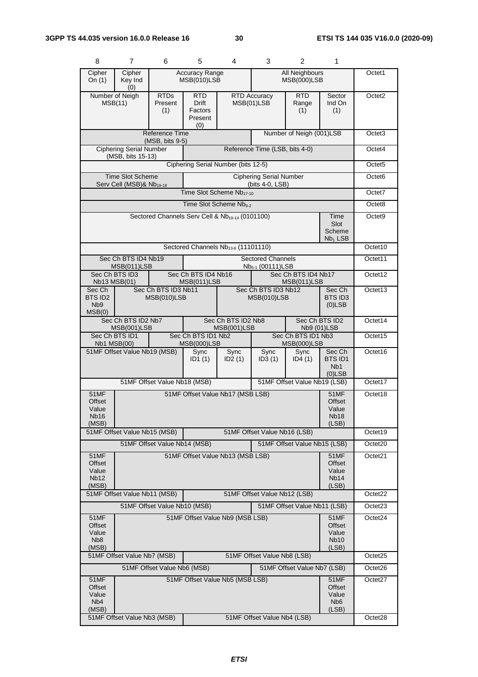| 8                                                      | 7                                                                                                                                                           | 6                                                           | 5                                        | 4                                               | 3                                                        | 2                                        | 1                                                                  |                     |
|--------------------------------------------------------|-------------------------------------------------------------------------------------------------------------------------------------------------------------|-------------------------------------------------------------|------------------------------------------|-------------------------------------------------|----------------------------------------------------------|------------------------------------------|--------------------------------------------------------------------|---------------------|
| Cipher<br>On $(1)$                                     | Cipher<br>Key Ind<br>(0)                                                                                                                                    |                                                             | <b>Accuracy Range</b><br>MSB(010)LSB     |                                                 |                                                          | All Neighbours<br><b>MSB(000)LSB</b>     |                                                                    | Octet1              |
|                                                        | Number of Neigh<br><b>RTDs</b><br><b>RTD</b><br><b>RTD Accuracy</b><br><b>Drift</b><br>MSB(11)<br>Present<br>MSB(01)LSB<br>Factors<br>(1)<br>Present<br>(0) |                                                             |                                          |                                                 |                                                          |                                          | Sector<br>Ind On<br>(1)                                            | Octet <sub>2</sub>  |
|                                                        |                                                                                                                                                             | Reference Time<br>(MSB, bits 9-5)                           |                                          |                                                 |                                                          | Number of Neigh (001)LSB                 |                                                                    | Octet <sub>3</sub>  |
|                                                        | <b>Ciphering Serial Number</b><br>Reference Time (LSB, bits 4-0)<br>(MSB, bits 15-13)                                                                       |                                                             |                                          |                                                 |                                                          |                                          |                                                                    | Octet4              |
|                                                        |                                                                                                                                                             |                                                             |                                          | Ciphering Serial Number (bits 12-5)             |                                                          |                                          |                                                                    | Octet <sub>5</sub>  |
|                                                        | <b>Time Slot Scheme</b><br>Serv Cell (MSB)& Nb <sub>19-18</sub>                                                                                             |                                                             |                                          |                                                 | <b>Ciphering Serial Number</b><br>(bits 4-0, LSB)        |                                          |                                                                    | Octet <sub>6</sub>  |
|                                                        |                                                                                                                                                             |                                                             |                                          | Time Slot Scheme Nb17-10                        |                                                          |                                          |                                                                    | Octet7              |
|                                                        |                                                                                                                                                             |                                                             |                                          | Time Slot Scheme Nb <sub>9-2</sub>              |                                                          |                                          |                                                                    | Octet8              |
|                                                        |                                                                                                                                                             | Sectored Channels Serv Cell & Nb <sub>19-14</sub> (0101100) |                                          |                                                 |                                                          |                                          | Time<br>Slot<br>Scheme<br>$Nb1$ LSB                                | Octet <sub>9</sub>  |
|                                                        |                                                                                                                                                             |                                                             |                                          | Sectored Channels Nb <sub>13-6</sub> (11101110) |                                                          |                                          |                                                                    | Octet10             |
|                                                        | Sec Ch BTS ID4 Nb19<br>MSB(011)LSB                                                                                                                          |                                                             |                                          |                                                 | <b>Sectored Channels</b><br>Nb <sub>5-1</sub> (00111)LSB |                                          |                                                                    | Octet11             |
|                                                        | Sec Ch BTS ID3<br>Nb13 MSB(01)                                                                                                                              |                                                             | Sec Ch BTS ID4 Nb16<br>MSB(011)LSB       |                                                 |                                                          | Sec Ch BTS ID4 Nb17<br>MSB(011)LSB       |                                                                    | Octet12             |
| Sec Ch<br>BTS ID2<br>N <sub>b</sub> 9<br>MSB(0)        |                                                                                                                                                             | Sec Ch BTS ID3 Nb11<br>MSB(010)LSB                          |                                          | Sec Ch BTS ID3 Nb12<br>MSB(010)LSB              |                                                          |                                          | Sec Ch<br><b>BTS ID3</b><br>$(0)$ LSB                              | Octet13             |
|                                                        | Sec Ch BTS ID2<br>Sec Ch BTS ID2 Nb7<br>Sec Ch BTS ID2 Nb8<br>MSB(001)LSB<br>MSB(001)LSB<br>Nb9 (01)LSB                                                     |                                                             |                                          |                                                 |                                                          |                                          | Octet14                                                            |                     |
|                                                        | Sec Ch BTS ID1<br>Nb1 MSB(00)                                                                                                                               |                                                             | Sec Ch BTS ID1 Nb2<br><b>MSB(000)LSB</b> |                                                 |                                                          | Sec Ch BTS ID1 Nb3<br><b>MSB(000)LSB</b> |                                                                    | Octet15             |
|                                                        | 51MF Offset Value Nb19 (MSB)                                                                                                                                |                                                             | Sync<br>ID1(1)                           | Sync<br>ID2(1)                                  | Sync<br>ID3(1)                                           | Sync<br>ID4(1)                           | Sec Ch<br>BTS ID1<br>N <sub>b</sub> 1<br>$(0)$ LSB                 | Octet16             |
|                                                        |                                                                                                                                                             | 51MF Offset Value Nb18 (MSB)                                |                                          |                                                 |                                                          | 51MF Offset Value Nb19 (LSB)             |                                                                    | Octet17             |
| <b>51MF</b><br><b>Offset</b><br>Value<br>Nb16<br>(MSB) |                                                                                                                                                             |                                                             |                                          | 51MF Offset Value Nb17 (MSB LSB)                |                                                          |                                          | <b>51MF</b><br><b>Offset</b><br>Value<br>Nb <sub>18</sub><br>(LSB) | Octet18             |
|                                                        | 51MF Offset Value Nb15 (MSB)                                                                                                                                |                                                             |                                          |                                                 | 51MF Offset Value Nb16 (LSB)                             |                                          |                                                                    | Octet19             |
|                                                        |                                                                                                                                                             | 51MF Offset Value Nb14 (MSB)                                |                                          |                                                 |                                                          | 51MF Offset Value Nb15 (LSB)             |                                                                    | Octet20             |
| Offset<br>Value<br><b>Nb12</b><br>(MSB)                | 51MF Offset Value Nb13 (MSB LSB)<br><b>51MF</b><br>51MF<br>Offset<br>Value<br>Nb <sub>14</sub>                                                              |                                                             |                                          |                                                 |                                                          |                                          | (LSB)                                                              | Octet21             |
|                                                        | 51MF Offset Value Nb11 (MSB)                                                                                                                                |                                                             |                                          |                                                 | 51MF Offset Value Nb12 (LSB)                             |                                          |                                                                    | Octet <sub>22</sub> |
|                                                        |                                                                                                                                                             | 51MF Offset Value Nb10 (MSB)                                |                                          |                                                 |                                                          | 51MF Offset Value Nb11 (LSB)             |                                                                    | Octet23             |
| Offset<br>Value<br>N <sub>b</sub> 8<br>(MSB)           | 51MF Offset Value Nb9 (MSB LSB)<br>51MF<br><b>51MF</b><br>Offset<br>Value<br><b>Nb10</b><br>(LSB)                                                           |                                                             |                                          |                                                 |                                                          | Octet24                                  |                                                                    |                     |
|                                                        | 51MF Offset Value Nb7 (MSB)                                                                                                                                 |                                                             |                                          |                                                 | 51MF Offset Value Nb8 (LSB)                              |                                          |                                                                    | Octet25             |
|                                                        |                                                                                                                                                             | 51MF Offset Value Nb6 (MSB)                                 |                                          |                                                 |                                                          | 51MF Offset Value Nb7 (LSB)              |                                                                    | Octet26             |
| 51MF<br>Offset<br>Value<br>N <sub>b</sub> 4<br>(MSB)   |                                                                                                                                                             |                                                             |                                          | 51MF Offset Value Nb5 (MSB LSB)                 |                                                          |                                          | 51MF<br>Offset<br>Value<br>N <sub>b</sub> 6<br>(LSB)               | Octet <sub>27</sub> |
|                                                        | 51MF Offset Value Nb3 (MSB)<br>51MF Offset Value Nb4 (LSB)                                                                                                  |                                                             |                                          |                                                 |                                                          |                                          |                                                                    | Octet28             |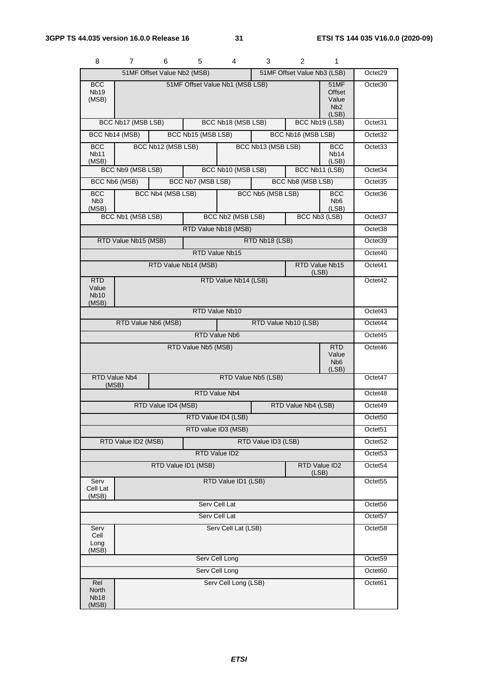| 8                                           | 7                                                                                       | 6                    | 5                   | 4                     | 3                  | 2                  | 1                                                           |                     |
|---------------------------------------------|-----------------------------------------------------------------------------------------|----------------------|---------------------|-----------------------|--------------------|--------------------|-------------------------------------------------------------|---------------------|
|                                             | 51MF Offset Value Nb2 (MSB)<br>51MF Offset Value Nb3 (LSB)                              |                      |                     |                       |                    |                    |                                                             | Octet29             |
| <b>BCC</b><br>Nb <sub>19</sub><br>(MSB)     | 51MF Offset Value Nb1 (MSB LSB)<br>51MF<br>Offset<br>Value<br>N <sub>b</sub> 2<br>(LSB) |                      |                     |                       |                    |                    | Octet <sub>30</sub>                                         |                     |
|                                             | BCC Nb17 (MSB LSB)                                                                      |                      |                     | BCC Nb18 (MSB LSB)    |                    | BCC Nb19 (LSB)     |                                                             | Octet31             |
| BCC Nb14 (MSB)                              |                                                                                         |                      | BCC Nb15 (MSB LSB)  |                       |                    | BCC Nb16 (MSB LSB) |                                                             | Octet <sub>32</sub> |
| <b>BCC</b><br><b>Nb11</b><br>(MSB)          |                                                                                         | BCC Nb12 (MSB LSB)   |                     |                       | BCC Nb13 (MSB LSB) |                    | <b>BCC</b><br>Nb <sub>14</sub><br>(LSB)                     | Octet <sub>33</sub> |
|                                             | BCC Nb9 (MSB LSB)                                                                       |                      |                     | BCC Nb10 (MSB LSB)    |                    | BCC Nb11 (LSB)     |                                                             | Octet34             |
| BCC Nb6 (MSB)                               |                                                                                         |                      | BCC Nb7 (MSB LSB)   |                       |                    | BCC Nb8 (MSB LSB)  |                                                             | Octet <sub>35</sub> |
| <b>BCC</b><br>N <sub>b</sub> 3<br>(MSB)     |                                                                                         | BCC Nb4 (MSB LSB)    |                     |                       | BCC Nb5 (MSB LSB)  |                    | <b>BCC</b><br>N <sub>b</sub> 6<br>(LSB)                     | Octet36             |
|                                             | BCC Nb1 (MSB LSB)                                                                       |                      |                     | BCC Nb2 (MSB LSB)     |                    |                    | BCC Nb3 (LSB)                                               | Octet37             |
|                                             |                                                                                         |                      |                     | RTD Value Nb18 (MSB)  |                    |                    |                                                             | Octet <sub>38</sub> |
|                                             | RTD Value Nb15 (MSB)                                                                    |                      |                     |                       | RTD Nb18 (LSB)     |                    |                                                             | Octet39             |
|                                             |                                                                                         |                      |                     | <b>RTD Value Nb15</b> |                    |                    |                                                             | Octet <sub>40</sub> |
|                                             |                                                                                         | RTD Value Nb14 (MSB) |                     |                       |                    | (LSB)              | RTD Value Nb15                                              | Octet41             |
| <b>RTD</b><br>Value<br><b>Nb10</b><br>(MSB) | RTD Value Nb14 (LSB)                                                                    |                      |                     |                       |                    |                    |                                                             | Octet42             |
|                                             |                                                                                         |                      |                     | RTD Value Nb10        |                    |                    |                                                             | Octet43             |
|                                             | RTD Value Nb6 (MSB)<br>RTD Value Nb10 (LSB)                                             |                      |                     |                       |                    |                    |                                                             |                     |
|                                             |                                                                                         |                      |                     | RTD Value Nb6         |                    |                    |                                                             | Octet45             |
|                                             |                                                                                         |                      | RTD Value Nb5 (MSB) |                       |                    |                    | <b>RTD</b><br>Value<br>N <sub>b</sub> <sub>6</sub><br>(LSB) | Octet46             |
| RTD Value Nb4<br>(MSB)                      |                                                                                         |                      |                     | Octet47               |                    |                    |                                                             |                     |
|                                             |                                                                                         |                      |                     | RTD Value Nb4         |                    |                    |                                                             | Octet48             |
|                                             | RTD Value ID4 (MSB)<br>RTD Value Nb4 (LSB)                                              |                      |                     |                       |                    |                    |                                                             |                     |
| RTD Value ID4 (LSB)                         |                                                                                         |                      |                     |                       |                    |                    |                                                             | Octet <sub>50</sub> |
| RTD value ID3 (MSB)                         |                                                                                         |                      |                     |                       |                    |                    |                                                             | Octet <sub>51</sub> |
| RTD Value ID2 (MSB)<br>RTD Value ID3 (LSB)  |                                                                                         |                      |                     |                       |                    |                    | Octet <sub>52</sub>                                         |                     |
| RTD Value ID2                               |                                                                                         |                      |                     |                       |                    |                    |                                                             | Octet53             |
|                                             | RTD Value ID2<br>RTD Value ID1 (MSB)<br>(LSB)                                           |                      |                     |                       |                    |                    |                                                             | Octet <sub>54</sub> |
| Serv<br>Cell Lat<br>(MSB)                   | RTD Value ID1 (LSB)                                                                     |                      |                     |                       |                    |                    |                                                             | Octet <sub>55</sub> |
| Serv Cell Lat                               |                                                                                         |                      |                     |                       |                    |                    |                                                             | Octet <sub>56</sub> |
| Serv Cell Lat                               |                                                                                         |                      |                     |                       |                    |                    | Octet57                                                     |                     |
| Serv<br>Cell<br>Long<br>(MSB)               | Serv Cell Lat (LSB)                                                                     |                      |                     |                       |                    |                    | Octet <sub>58</sub>                                         |                     |
|                                             | Serv Cell Long                                                                          |                      |                     |                       |                    |                    |                                                             |                     |
|                                             | Serv Cell Long                                                                          |                      |                     |                       |                    |                    |                                                             |                     |
| Rel<br>North<br><b>Nb18</b><br>(MSB)        |                                                                                         |                      |                     | Serv Cell Long (LSB)  |                    |                    |                                                             | Octet61             |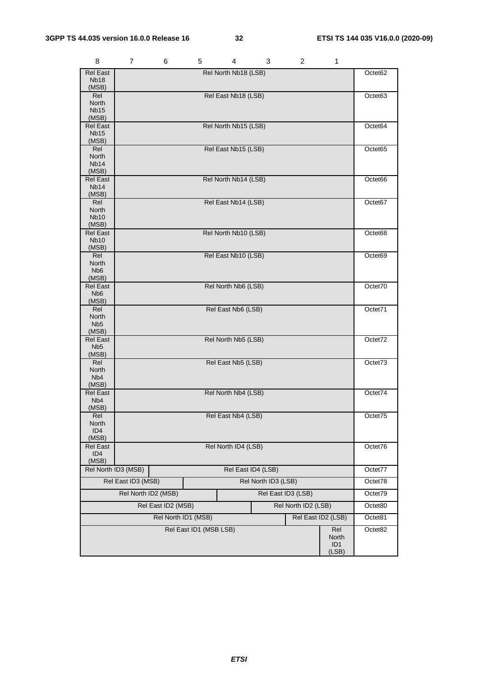| 8                                         | 7                   | 6 | 5                      | 4                    | 3                   | 2 | 1                        |         |
|-------------------------------------------|---------------------|---|------------------------|----------------------|---------------------|---|--------------------------|---------|
| <b>Rel East</b>                           |                     |   |                        | Rel North Nb18 (LSB) |                     |   |                          | Octet62 |
| <b>Nb18</b><br>(MSB)                      |                     |   |                        |                      |                     |   |                          |         |
| Rel                                       |                     |   |                        | Rel East Nb18 (LSB)  |                     |   |                          | Octet63 |
| North                                     |                     |   |                        |                      |                     |   |                          |         |
| Nb15<br>(MSB)                             |                     |   |                        |                      |                     |   |                          |         |
| <b>Rel East</b>                           |                     |   |                        | Rel North Nb15 (LSB) |                     |   |                          | Octet64 |
| <b>Nb15</b><br>(MSB)                      |                     |   |                        |                      |                     |   |                          |         |
| Rel                                       |                     |   |                        | Rel East Nb15 (LSB)  |                     |   |                          | Octet65 |
| <b>North</b>                              |                     |   |                        |                      |                     |   |                          |         |
| <b>Nb14</b><br>(MSB)                      |                     |   |                        |                      |                     |   |                          |         |
| <b>Rel East</b>                           |                     |   |                        | Rel North Nb14 (LSB) |                     |   |                          | Octet66 |
| <b>Nb14</b>                               |                     |   |                        |                      |                     |   |                          |         |
| (MSB)<br>Rel                              |                     |   |                        |                      |                     |   |                          |         |
| North                                     |                     |   |                        | Rel East Nb14 (LSB)  |                     |   |                          | Octet67 |
| <b>Nb10</b>                               |                     |   |                        |                      |                     |   |                          |         |
| (MSB)                                     |                     |   |                        |                      |                     |   |                          |         |
| <b>Rel East</b><br><b>Nb10</b>            |                     |   |                        | Rel North Nb10 (LSB) |                     |   |                          | Octet68 |
| (MSB)                                     |                     |   |                        |                      |                     |   |                          |         |
| Rel                                       |                     |   |                        | Rel East Nb10 (LSB)  |                     |   |                          | Octet69 |
| North<br>N <sub>b</sub> 6                 |                     |   |                        |                      |                     |   |                          |         |
| (MSB)                                     |                     |   |                        |                      |                     |   |                          |         |
| <b>Rel East</b>                           |                     |   |                        | Rel North Nb6 (LSB)  |                     |   |                          | Octet70 |
| N <sub>b</sub> <sub>6</sub><br>(MSB)      |                     |   |                        |                      |                     |   |                          |         |
| Rel                                       |                     |   |                        | Rel East Nb6 (LSB)   |                     |   |                          | Octet71 |
| North                                     |                     |   |                        |                      |                     |   |                          |         |
| N <sub>b5</sub><br>(MSB)                  |                     |   |                        |                      |                     |   |                          |         |
| Rel East                                  |                     |   |                        | Rel North Nb5 (LSB)  |                     |   |                          | Octet72 |
| N <sub>b5</sub>                           |                     |   |                        |                      |                     |   |                          |         |
| (MSB)<br>Rel                              |                     |   |                        | Rel East Nb5 (LSB)   |                     |   |                          | Octet73 |
| North                                     |                     |   |                        |                      |                     |   |                          |         |
| Nb <sub>4</sub>                           |                     |   |                        |                      |                     |   |                          |         |
| (MSB)<br><b>Rel East</b>                  |                     |   |                        |                      |                     |   |                          | Octet74 |
| N <sub>b</sub> 4                          | Rel North Nb4 (LSB) |   |                        |                      |                     |   |                          |         |
| (MSB)                                     |                     |   |                        |                      |                     |   |                          |         |
| Rel<br>North                              | Rel East Nb4 (LSB)  |   |                        |                      |                     |   | Octet75                  |         |
| ID4                                       |                     |   |                        |                      |                     |   |                          |         |
| (MSB)                                     |                     |   |                        |                      |                     |   |                          |         |
| <b>Rel East</b><br>ID <sub>4</sub>        | Rel North ID4 (LSB) |   |                        |                      |                     |   |                          | Octet76 |
| (MSB)                                     |                     |   |                        |                      |                     |   |                          |         |
|                                           | Rel North ID3 (MSB) |   |                        |                      | Rel East ID4 (LSB)  |   |                          | Octet77 |
|                                           | Rel East ID3 (MSB)  |   |                        |                      | Rel North ID3 (LSB) |   |                          | Octet78 |
| Rel North ID2 (MSB)<br>Rel East ID3 (LSB) |                     |   |                        |                      |                     |   | Octet79                  |         |
| Rel East ID2 (MSB)<br>Rel North ID2 (LSB) |                     |   |                        |                      |                     |   | Octet80                  |         |
| Rel East ID2 (LSB)<br>Rel North ID1 (MSB) |                     |   |                        |                      |                     |   | Octet81                  |         |
|                                           |                     |   | Rel East ID1 (MSB LSB) |                      |                     |   | Rel                      | Octet82 |
|                                           |                     |   |                        |                      |                     |   | North                    |         |
|                                           |                     |   |                        |                      |                     |   | ID <sub>1</sub><br>(LSB) |         |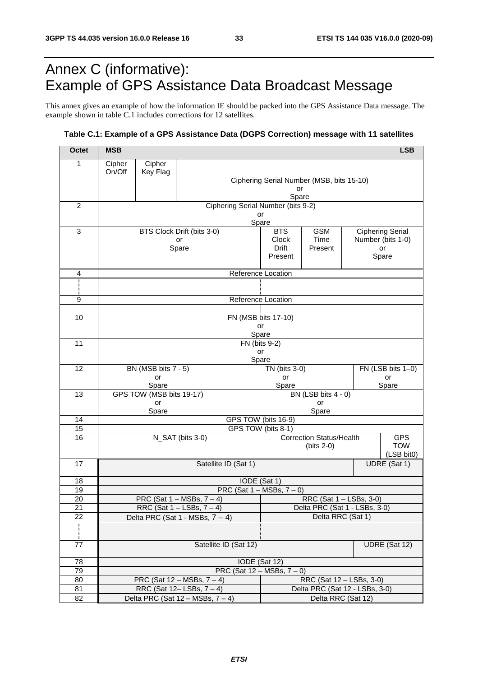## Annex C (informative): Example of GPS Assistance Data Broadcast Message

This annex gives an example of how the information IE should be packed into the GPS Assistance Data message. The example shown in table C.1 includes corrections for 12 satellites.

#### **Table C.1: Example of a GPS Assistance Data (DGPS Correction) message with 11 satellites**

| <b>Octet</b>   | <b>MSB</b>                                                     |                           |                                        |                                    |                                |                                           |                   | <b>LSB</b>               |  |
|----------------|----------------------------------------------------------------|---------------------------|----------------------------------------|------------------------------------|--------------------------------|-------------------------------------------|-------------------|--------------------------|--|
| $\mathbf{1}$   | Cipher                                                         | Cipher                    |                                        |                                    |                                |                                           |                   |                          |  |
|                | On/Off                                                         | Key Flag                  |                                        |                                    |                                |                                           |                   |                          |  |
|                |                                                                |                           |                                        |                                    | or                             | Ciphering Serial Number (MSB, bits 15-10) |                   |                          |  |
|                |                                                                |                           |                                        |                                    | Spare                          |                                           |                   |                          |  |
| $\overline{2}$ |                                                                |                           |                                        | Ciphering Serial Number (bits 9-2) |                                |                                           |                   |                          |  |
|                |                                                                |                           |                                        |                                    | or<br>Spare                    |                                           |                   |                          |  |
| 3              |                                                                |                           | BTS Clock Drift (bits 3-0)             |                                    | <b>BTS</b>                     | <b>GSM</b><br><b>Ciphering Serial</b>     |                   |                          |  |
|                |                                                                |                           | or                                     |                                    | <b>Clock</b>                   | Time                                      | Number (bits 1-0) |                          |  |
|                |                                                                |                           | Spare                                  |                                    | <b>Drift</b><br>Present        | Present                                   |                   | or                       |  |
|                |                                                                |                           |                                        |                                    |                                |                                           | Spare             |                          |  |
| 4              |                                                                |                           |                                        | Reference Location                 |                                |                                           |                   |                          |  |
| ł              |                                                                |                           |                                        |                                    |                                |                                           |                   |                          |  |
| 9              |                                                                |                           |                                        |                                    | Reference Location             |                                           |                   |                          |  |
|                |                                                                |                           |                                        |                                    |                                |                                           |                   |                          |  |
| 10             |                                                                |                           |                                        | FN (MSB bits 17-10)                |                                |                                           |                   |                          |  |
|                |                                                                |                           |                                        |                                    | or<br>Spare                    |                                           |                   |                          |  |
| 11             |                                                                |                           |                                        | FN (bits 9-2)                      |                                |                                           |                   |                          |  |
|                |                                                                |                           |                                        |                                    | or                             |                                           |                   |                          |  |
|                |                                                                |                           |                                        |                                    | Spare                          |                                           |                   |                          |  |
| 12             |                                                                | BN (MSB bits 7 - 5)<br>or |                                        |                                    | TN (bits 3-0)<br>or            |                                           |                   | FN (LSB bits 1-0)<br>or  |  |
|                |                                                                | Spare                     |                                        |                                    | Spare                          |                                           |                   | Spare                    |  |
| 13             |                                                                | GPS TOW (MSB bits 19-17)  |                                        |                                    |                                | BN (LSB bits 4 - 0)                       |                   |                          |  |
|                |                                                                | or<br>Spare               |                                        |                                    |                                | or<br>Spare                               |                   |                          |  |
| 14             | GPS TOW (bits 16-9)                                            |                           |                                        |                                    |                                |                                           |                   |                          |  |
| 15             | GPS TOW (bits 8-1)                                             |                           |                                        |                                    |                                |                                           |                   |                          |  |
| 16             | N_SAT (bits 3-0)                                               |                           |                                        |                                    |                                | <b>Correction Status/Health</b>           |                   | <b>GPS</b>               |  |
|                |                                                                |                           |                                        |                                    |                                | $(bits 2-0)$                              |                   | <b>TOW</b><br>(LSB bit0) |  |
| 17             |                                                                |                           |                                        | Satellite ID (Sat 1)               |                                |                                           |                   | UDRE (Sat 1)             |  |
|                |                                                                |                           |                                        |                                    |                                |                                           |                   |                          |  |
| 18<br>19       | IODE (Sat 1)<br>PRC (Sat $1 - \text{MSBs}, 7 - 0$ )            |                           |                                        |                                    |                                |                                           |                   |                          |  |
| 20             | PRC (Sat $1 - \text{MSBs}, 7 - 4$ )<br>RRC (Sat 1 - LSBs, 3-0) |                           |                                        |                                    |                                |                                           |                   |                          |  |
| 21             |                                                                |                           | RRC (Sat $1 -$ LSBs, $7 - 4$ )         |                                    | Delta PRC (Sat 1 - LSBs, 3-0)  |                                           |                   |                          |  |
| 22             | Delta RRC (Sat 1)<br>Delta PRC (Sat $1 - \text{MSBs}, 7 - 4$ ) |                           |                                        |                                    |                                |                                           |                   |                          |  |
| ÷,             |                                                                |                           |                                        |                                    |                                |                                           |                   |                          |  |
| 77             | Satellite ID (Sat 12)<br>UDRE (Sat 12)                         |                           |                                        |                                    |                                |                                           |                   |                          |  |
| 78             |                                                                | IODE (Sat 12)             |                                        |                                    |                                |                                           |                   |                          |  |
| 79             |                                                                |                           |                                        | PRC (Sat $12 - MSBs$ , $7 - 0$ )   |                                |                                           |                   |                          |  |
| 80             |                                                                |                           | PRC (Sat $12 - MSBs$ , $7 - 4$ )       |                                    | RRC (Sat 12 - LSBs, 3-0)       |                                           |                   |                          |  |
| 81             |                                                                |                           | RRC (Sat $12 -$ LSBs, $7 - 4$ )        |                                    | Delta PRC (Sat 12 - LSBs, 3-0) |                                           |                   |                          |  |
| 82             |                                                                |                           | Delta PRC (Sat $12 - MSBs$ , $7 - 4$ ) |                                    | Delta RRC (Sat 12)             |                                           |                   |                          |  |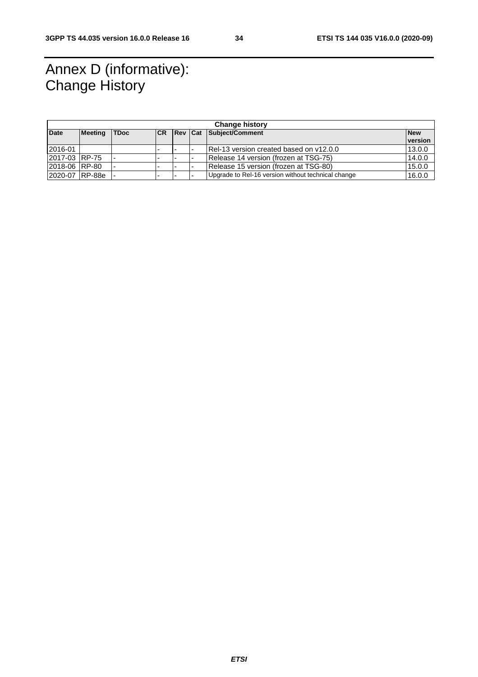## Annex D (informative): Change History

| <b>Change history</b> |         |             |            |  |  |                                                    |            |
|-----------------------|---------|-------------|------------|--|--|----------------------------------------------------|------------|
| <b>Date</b>           | Meeting | <b>TDoc</b> | <b>ICR</b> |  |  | <b>Rev Cat Subject/Comment</b>                     | <b>New</b> |
|                       |         |             |            |  |  |                                                    | version    |
| 2016-01               |         |             |            |  |  | IRel-13 version created based on y12.0.0           | 13.0.0     |
| 2017-03 RP-75         |         |             | -          |  |  | Release 14 version (frozen at TSG-75)              | 14.0.0     |
| 12018-06 RP-80        |         |             |            |  |  | Release 15 version (frozen at TSG-80)              | 15.0.0     |
| 2020-07 RP-88e        |         |             |            |  |  | Upgrade to Rel-16 version without technical change | 16.0.0     |